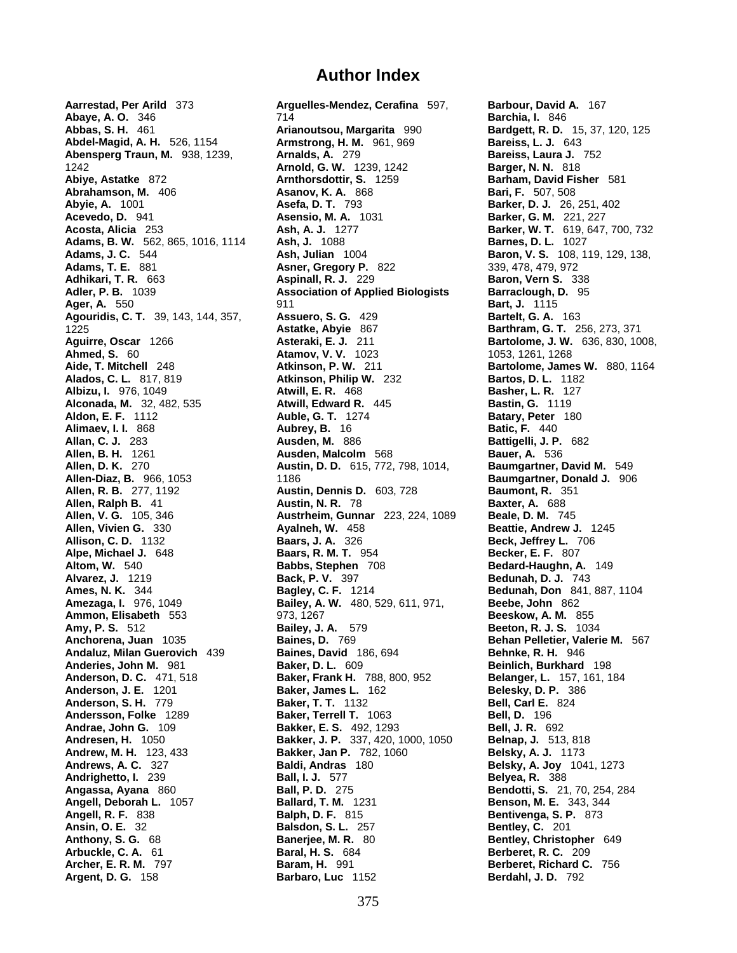**Aarrestad, Per Arild** 373 **Arguelles-Mendez, Cerafina** 597, **Barbour, David A.** 167 **Abaye, A. O.** 346 714 **Barchia, I.** 846 **Abbas, S. H.** 461 **Arianoutsou, Margarita** 990 **Bardgett, R. D.** 15, 37, 120, 125 **Abdel-Magid, A. H.** 526, 1154 **Armstrong, H. M.** 961, 969 **Bareiss, L. J.** 643 **Abensperg Traun, M.** 938, 1239, **Arnalds, A.** 279 **Bareiss, Laura J.** 752 1242 **Arnold, G. W.** 1239, 1242 **Barger, N. N.** 818 **Abiye, Astatke** 872 **Arnthorsdottir, S.** 1259 **Barham, David Fisher** 581 **Abrahamson, M.** 406 **Asanov, K. A.** 868 **Bari, F.** 507, 508 **Abvie. A.** 1001 **Asanov, K. A.** 793 **Barker, D. J.** 26, **Abyie, A.** 1001 **Asefa, D. T.** 793 **Barker, D. J.** 26, 251, 402 **Asensio, M. A.** 1031 **Barker, G. M.** 221, 227 **Acosta, Alicia** 253 **Ash, A. J.** 1277 **Barker, W. T.** 619, 647, 700, 732 **Adams, B. W.** 562, 865, 1016, 1114 **Ash, J.** 1088 **Barnes, D. L.** 1027 **Adams, J. C.** 544 **Ash, Julian** 1004 **Baron, V. S.** 108, 119, 129, 138, **Adams, T. E.** 881 **Asner, Gregory P.** 822 339, 478, 479, 972 **Adhikari, T. R.** 663 **Aspinall, R. J.** 229 **Baron, Vern S.** 338 **Adler, P. B.** 1039 **Association of Applied Biologists Barraclough, D.** 95 **Ager, A.** 550 **811** 911 **Bart, J.** 1115 **Agouridis, C. T.** 39, 143, 144, 357, **Assuero, S. G.** 429 **Bartelt, G. A.** 163 1225 **Astatke, Abyie** 867 **Barthram, G. T.** 256, 273, 371 **Aguirre, Oscar** 1266 **Asteraki, E. J.** 211 **Bartolome, J. W.** 636, 830, 1008, **Ahmed, S.** 60 **Atamov, V. V.** 1023 1053, 1261, 1268 **Aide, T. Mitchell** 248 **Atkinson, P. W.** 211 **Bartolome, James W.** 880, 1164 **Alados, C. L.** 817, 819 **Atkinson, Philip W.** 232 **Bartos, D. L.** 1182 **Albizu, I.** 976, 1049 **Atwill, E. R.** 468 **Basher, L. R.** 127 **Alconada, M.** 32, 482, 535 **Atwill, Edward R.** 445 **Bastin, G.** 1119 **Aldon, E. F.** 1112 **Auble, G. T.** 1274 **Batary, Peter** 180 **Alimaev, I. I.** 868 **Aubrey, B.** 16 **Batic, F.** 440 **Allan, C. J.** 283 **Ausden, M.** 886 **Battigelli, J. P.** 682 **Allen, B. H.** 1261 **Ausden, Malcolm** 568 **Bauer, A.** 536 **Allen, D. K.** 270 **Austin, D. D.** 615, 772, 798, 1014, **Baumgartner, David M.** 549 **Allen-Diaz, B.** 966, 1053 1186 **Baumgartner, Donald J.** 906 **Allen, R. B.** 277, 1192 **Austin, Dennis D.** 603, 728 **Baumont, R.** 35<br>**Allen, Ralph B.** 41 **Austin, N. R. 78 Baxter, A.** 688 **Allen, Ralph B.** 41 **Austin, N. R.** 78 **Baxter, A.** 688 **Allen, V. G.** 105, 346 **Austrheim, Gunnar** 223, 224, 1089<br>**Allen, Vivien G.** 330 **Ayalneh, W.** 458 **Ayalneh, W.** 458 **Beattie, Andrew J.** 1245<br>**Baars. J. A.** 326 **Beck, Jeffrey L. 706 Allison, C. D.** 1132 **Baars, J. A.** 326 **Beck, Jeffrey L.** 706 **Alpe, Michael J.** 648 **Baars, R. M. T.** 954 **Becker, E. F.** 807 **Altom, W.** 540 **Babbs, Stephen** 708 **Bedard-Haughn, A.** 149 **Alvarez, J.** 1219 **Back, P. V.** 397 **Bedunah, D. J.** 743 **Ames, N. K.** 344 **Bagley, C. F.** 1214 **Bedunah, Don** 841, 887, 1104 **Amezaga, I.** 976, 1049 **Bailey, A. W.** 480, 529, 611, 971, **Beebe, John** 862 **Ammon, Elisabeth** 553 973, 1267 **Beeskow, A. M.** 855 **Amy, P. S.** 512 **Bailey, J. A.** 579 **Beeton, R. J. S.** 1034 **Anchorena, Juan** 1035 **Baines, D.** 769 **Behan Pelletier, Valerie M.** 567 **Andaluz, Milan Guerovich** 439 **Baines, David** 186, 694 **Behnke, R. H.** 946 **Anderies, John M.** 981 **Baker, D. L.** 609 **Beinlich, Burkhard** 198 **Anderson, D. C.** 471, 518 **Baker, Frank H.** 788, 800, 952 **Belanger, L.** 157, 161, 184 **Anderson, J. E.** 1201 **Baker, James L.** 162 **Belesky, D. P.** 386 **Anderson, S. H.** 779 **Baker, T. T.** 1132 **Bell, Carl E.** 824 **Andersson, Folke** 1289 **Baker, Terrell T.** 1063 **Bell, D.** 196 **Andrae, John G.** 109 **Bakker, E. S.** 492, 1293 **Bell, J. R.** 692 **Andresen, H.** 1050 **Bakker, J. P.** 337, 420, 1000, 1050 **Belnap, J.** 513, 818 **Andrew, M. H.** 123, 433 **Bakker, Jan P.** 782, 1060 **Belsky, A. J.** 1173 **Andrews, A. C.** 327 **Baldi, Andras** 180 **Belsky, A. Joy** 1041, 1273 **Andrighetto, I.** 239 **Ball, I. J.** 577 **Belyea, R.** 388 **Angassa, Ayana** 860 **Ball, P. D.** 275 **Bendotti, S.** 21, 70, 254, 284 **Angell, Deborah L.** 1057 **Ballard, T. M.** 1231 **Benson, M. E.** 343, 344 **Angell, R. F.** 838 **Balph, D. F.** 815 **Bentivenga, S. P.** 873 **Ansin, O. E.** 32 **Bentivenga, S. P. 873 Bentiley, C.** 201 **Ansin, O. E.** 32 **Balsdon, S. L.** 257 **Bentley, C.** 201 **Banerjee, M. R. 80 <b>Bentley, Christopher** 649 **Arbuckle, C. A.** 61 **Baral, H. S.** 684 **Berberet, R. C.** 209 **Archer, E. R. M.** 797 **Baram, H.** 991 **Berberet, Richard C.** 756 **Argent, D. G.** 158 **Barbaro, Luc** 1152 **Berdahl, J. D.** 792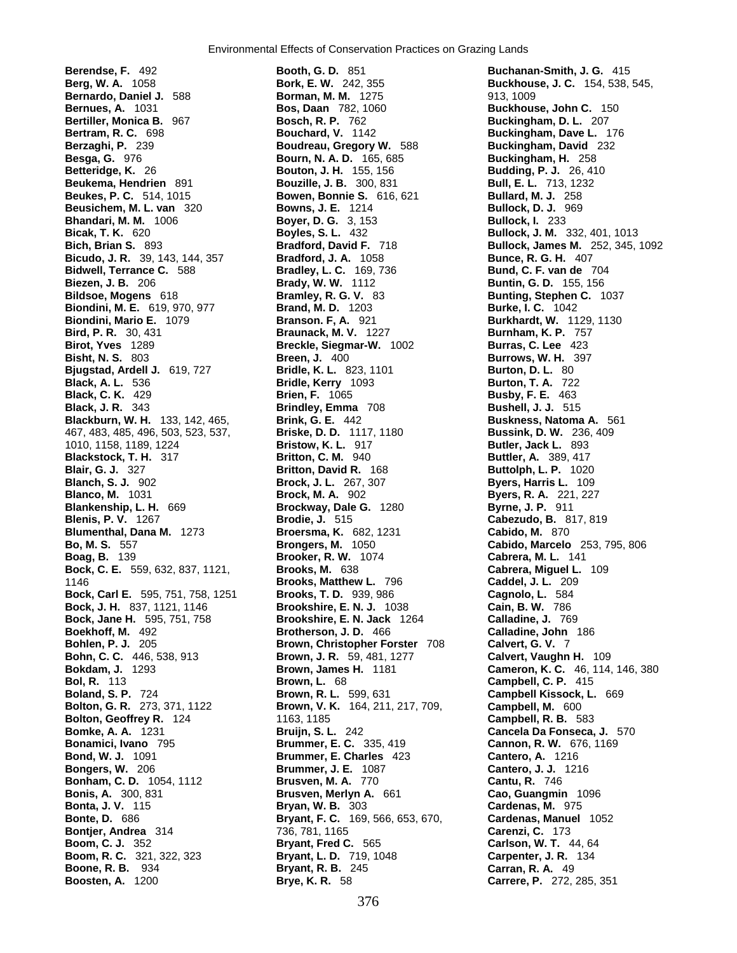**Berendse, F.** 492 **Booth, G. D.** 851 **Buchanan-Smith, J. G.** 415 **Berg, W. A.** 1058 **Bork, E. W.** 242, 355 **Buckhouse, J. C.** 154, 538, 545, **Bernardo, Daniel J.** 588 **Borman, M. M.** 1275 913, 1009 **Bertram, R. C.** 698 **Bouchard, V.** 1142 **Buckingham, Dave L.** 176 **Berzaghi, P.** 239 **Boudreau, Gregory W.** 588 **Buckingham, David** 232 **Besga, G.** 976 **Bourn, N. A. D.** 165, 685 **Buckingham, H.** 258 **Betteridge, K.** 26 **Bouton, J. H.** 155, 156 **Budding, P. J.** 26, 410 **Beukema, Hendrien** 891 **Bouzille, J. B.** 300, 831 **Beukes, P. C.** 514, 1015 **Bowen, Bonnie S.** 616, 621 **Bullard, M. J.** 258 **Beusichem, M. L. van** 320 **Bowns, J. E.** 1214 **Bullock, D. J.** 969<br> **Bhandari, M. M.** 1006 **Boyer, D. G.** 3, 153 **Bullock, I.** 233 **Bhandari, M. M. 1006 <b>Boyer, D. G.** 3, 153 **Bicak, T. K.** 620 **Boyles, S. L.** 432 **Bullock, J. M.** 332, 401, 1013 **Bicudo, J. R.** 39, 143, 144, 357 **Bradford, J. A.** 1058 **Bunce, R. G. H.** 407 **Bidwell, Terrance C.** 588 **Bradley, L. C.** 169, 736 **Bund, C. F. van de** 704 **Biezen, J. B.** 206 **Brady, W. W.** 1112 **Buntin, G. D.** 155, 156 **Bildsoe, Mogens** 618 **Bramley, R. G. V.** 83 **Bunting, Stephen C.** 1037 **Biondini, M. E.** 619, 970, 977 **Brand, M. D.** 1203 **Burke, I. C.** 1042 **Biondini, Mario E.** 1079 **Branson. F, A.** 921 **Burkhardt, W.** 1129, 1130 **Bird, P. R.** 30, 431 **Braunack, M. V.** 1227 **Burnham, K. P.** 757 **Birot, Yves** 1289 **Breckle, Siegmar-W.** 1002 **Bisht, N. S.** 803 **Breen, J.** 400 **Burrows, W. H.** 397 **Bjugstad, Ardell J.** 619, 727 **Bridle, K. L.** 823, 1101 **Burton, D. L.** 80 **Black, C. K.** 429 **Brien, F.** 1065 **Busby, F. E.** 463 **Black, J. R.** 343 **Brindley, Emma** 708 **Bushell, J. J.** 515 **Blackburn, W. H.** 133, 142, 465, **Brink, G. E.** 442 **Buskness, Natoma A.** 561 467, 483, 485, 496, 503, 523, 537, **Briske, D. D.** 1117, 1180 **Bussink, D. W.** 236, 409 1010, 1158, 1189, 1224 **Bristow, K. L.** 917 **Butler, Jack L.** 893 **Blackstock, T. H.** 317 **Britton, C. M.** 940 **Buttler, A.** 389, 417 **Blair, G. J.** 327 **Britton, David R.** 168 **Buttolph, L. P.** 1020 **Blanch, S. J.** 902 **Brock, J. L.** 267, 307 **Byers, Harris L.** 109 **Blanco, M.** 1031 **Brock, M. A.** 902 **Byers, R. A.** 221, 227 **Blankenship, L. H.** 669 **Brockway, Dale G.** 1280 **Blenis, P. V.** 1267 **Brodie, J.** 515 **Cabezudo, B.** 817, 819 **Blumenthal, Dana M.** 1273 **Broersma, K.** 682, 1231 **Bo, M. S. 557 Broersma, M.** 1050 **Bo, M. S.** 557 **Brongers, M.** 1050 **Cabido, Marcelo** 253, 795, 806 **Boag, B.** 139 **Brooker, R. W.** 1074 **Cabrera, M. L.** 141 **Bock, C. E.** 559, 632, 837, 1121, **Brooks, M.** 638 **Cabrera, Miguel L.** 109 1146 **Brooks, Matthew L.** 796 **Caddel, J. L.** 209 **Bock, Carl E.** 595, 751, 758, 1251 **Brooks, T. D.** 939, 986 **Bock, J. H.** 837, 1121, 1146 **Brookshire, E. N. J.** 1038 **Cain, B. W.** 786 **Bock, Jane H.** 595, 751, 758 **Brookshire, E. N. Jack** 1264 **Calladine, J.** 769 **Boekhoff, M.** 492 **Brotherson, J. D.** 466 **Calladine, John** 186 **Bohlen, P. J.** 205 **Brown, Christopher Forster** 708 **Calvert, G. V.** 7 **Bohn, C. C.** 446, 538, 913 **Brown, J. R.** 59, 481, 1277 **Calvert, Vaughn H.** 109 **Bol, R.** 113 **Brown, L.** 68 **Campbell, C. P.** 415 **Boland, S. P.** 724 **Brown, R. L.** 599, 631 **Campbell Kissock, L.** 669 **Bolton, Geoffrey R.** 124 **1163, 1185** 1185 **Campbell, R. B. 583 Bomke, A. A.** 1231 **Campbell, R. B. 583 Campbell, R. B. 583 Bomke, A. A.** 1231 **Bruijn, S. L.** 242 **Cancela Da Fonseca, J.** 570 **Bonamici, Ivano** 795 **Brummer, E. C.** 335, 419 **Cannon, R. W.** 676, 1169 **Bond, W. J.** 1091 **Brummer, E. Charles** 423 **Cantero, A.** 1216 **Bonham, C. D.** 1054, 1112 **Brusven, M. A.** 770 **Cantu, R.** 746 **Bonis, A.** 300, 831 **Brusven, Merlyn A.** 661 **Cao, Guangmin** 1096 **Bontjer, Andrea** 314 736, 781, 1165 **Carenzi, C.** 173 **Boom, C. J.** 352 **Bryant, Fred C.** 565 **Carlson, W. T.** 44, 64 **Boom, R. C.** 321, 322, 323 **Bryant, L. D.** 719, 1048 **Carpenter, J. R.** 134 **Boone, R. B.** 934 **Bryant, R. B.** 245 **Carran, R. A.** 49

**Bernues, A.** 1031 **Bos, Daan** 782, 1060 **Buckhouse, John C.** 150 **Bertiller, Monica B.** 967 **Bosch, R. P.** 762 **Buckingham, D. L.** 207 **Bridle, Kerry** 1093 **Brown, V. K.** 164, 211, 217, 709, **Campbell, M.** 600 **Bongers, W.** 206 **Brummer, J. E.** 1087 **Cantero, J. J.** 1216 **Bonta, J. V.** 115 **Bryan, W. B.** 303 **Cardenas, M.** 975 **Bonte, D.** 686 **Bryant, F. C.** 169, 566, 653, 670, **Cardenas, Manuel** 1052 **Boosten, A.** 1200 **Brye, K. R.** 58 **Carrere, P.** 272, 285, 351

**Bich, Brian S.** 893 **Bradford, David F.** 718 **Bullock, James M.** 252, 345, 1092 **Bokdam, J.** 1293 **Brown, James H.** 1181 **Cameron, K. C.** 46, 114, 146, 380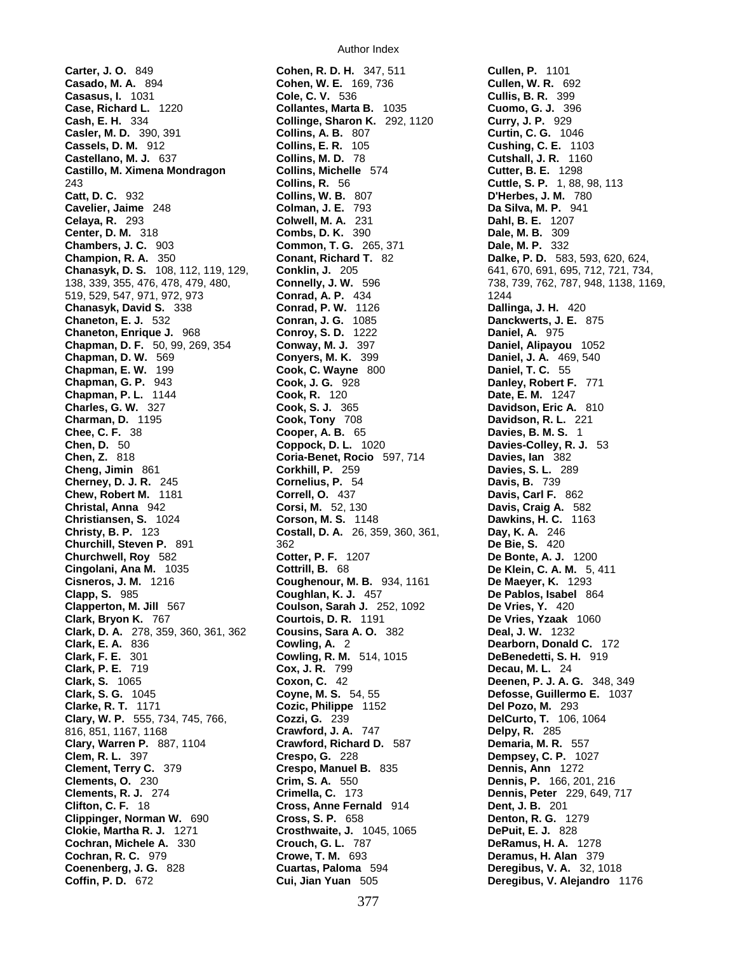**Carter, J. O.** 849 **Cohen, R. D. H.** 347, 511 **Cullen, P.** 1101 **Casado, M. A.** 894 **Cohen, W. E.** 169, 736 **Cullen, W. R.** 692 **Casasus, I.** 1031 **Cole, C. V.** 536 **Cullis, B. R.** 399 **Case, Richard L.** 1220 **Collantes, Marta B.** 1035 **Cuomo, G. J.** 396 **Cash, E. H.** 334 **Collinge, Sharon K.** 292, 1120 **Curry, J. P.** 929 **Casler, M. D.** 390, 391 **Collins, A. B.** 807 **Curtin, C. G.** 1046 **Cassels, D. M.** 912 **Collins, E. R.** 105 **Cushing, C. E.** 1103 **Castellano, M. J.** 637 **Collins, M. D.** 78 **Cutshall, J. R.** 1160 **Castillo, M. Ximena Mondragon Collins, Michelle** 574 **Castillo, M. Ximena Mondragon Collins, Michelle 574 Cutter, B. E. 1298**<br>243 **Collins, R. 56 Cuttle, S. P. 1, 88, 98, 113 Catt, D. C.** 932 **Collins, W. B.** 807 **D'Herbes, J. M.** 780 **Cavelier, Jaime** 248 **Colman, J. E.** 793 **Da Silva, M. P.** 941 **Celaya, R.** 293 **Colwell, M. A.** 231 **Dahl, B. E.** 1207 **Center, D. M.** 318 **Combs, D. K.** 390 **Dale, M. B.** 309 **Chambers, J. C.** 903 **Common, T. G.** 265, 371 **Dale, M. P.** 332 **Champion, R. A.** 350 **Conant, Richard T.** 82 **Dalke, P. D.** 583, 593, 620, 624, **Chanasyk, D. S.** 108, 112, 119, 129, **Conklin, J.** 205 641, 670, 691, 695, 712, 721, 734, 138, 339, 355, 476, 478, 479, 480, **Connelly, J. W.** 596 738, 739, 762, 787, 948, 1138, 1169, 519, 529, 547, 971, 972, 973 **Conrad, A. P.** 434 1244 **Chanasyk, David S.** 338 **Conrad, P. W.** 1126 **Dallinga, J. H.** 420 **Chaneton, E. J.** 532 **Conran, J. G.** 1085 **Danckwerts, J. E.** 875 **Chaneton, Enrique J.** 968 **Conroy, S. D.** 1222 **Daniel, A.** 975 **Chapman, D. F.** 50, 99, 269, 354 **Conway, M. J.** 397 **Daniel, Alipayou** 1052 **Chapman, D. W.** 569 **Conyers, M. K.** 399 **Daniel, J. A.** 469, 540 **Chapman, E. W.** 199 **Cook, C. Wayne** 800 **Daniel, T. C.** 55 **Chapman, G. P.** 943 **Cook, J. G.** 928 **Danley, Robert F.** 771 **Chapman, P. L.** 1144 **Cook, R. 120 Charles, G. W.** 327 **Cook, S. J.** 365 **Davidson, Eric A.** 810 **Charman, D.** 1195 **Cook, Tony** 708 **Davidson, R. L.** 221 **Chee, C. F.** 38 **Cooper, A. B.** 65 **Davies, B. M. S.** 1 **Chen, D.** 50 **Coppock, D. L.** 1020 **Davies-Colley, R. J.** 53 **Chen, Z.** 818 **Coria-Benet, Rocio** 597, 714 **Davies, Ian** 382 **Cheng, Jimin** 861 **Corkhill, P.** 259 **Davies, S. L.** 289 **Cherney, D. J. R.** 245 **Cornelius, P.** 54 **Davis, B.** 739 **Chew, Robert M.** 1181 **Correll, O.** 437 **Davis, Carl F.** 862 **Christal, Anna** 942 **Corsi, M.** 52, 130 **Davis, Craig A.** 582 **Christiansen, S.** 1024 **Corson, M. S.** 1148 **Dawkins, H. C.** 1163 **Costall, D. A.** 26, 359, 360, 361, **Day, K. A.** 246<br>**Churchill, Steven P.** 891 362 362 **De Bie. S.** 420 **Churchill, Steven P. 891 362 Churchwell, Roy** 582 **Cotter, P. F.** 1207 **De Bonte, A. J.** 1200 **Cingolani, Ana M.** 1035 **Cottrill, B.** 68 **De Klein, C. A. M.** 5, 411 **Cisneros, J. M.** 1216 **Coughenour, M. B.** 934, 1161 **De Maeyer, K.** 1293 **Clapp, S.** 985 **Coughlan, K. J.** 457 **De Pablos, Isabel** 864 **Clapperton, M. Jill** 567 **Coulson, Sarah J.** 252, 1092 **De Vries, Y.** 420 **Clark, Bryon K.** 767 **Courtois, D. R.** 1191 **De Vries, Yzaak** 1060 **Clark, D. A.** 278, 359, 360, 361, 362 **Cousins, Sara A. O.** 382 **Deal, J. W.** 1232 **Clark, E. A.** 836 **Cowling, A.** 2 **Dearborn, Donald C.** 172 **Clark, F. E.** 301 **Cowling, R. M.** 514, 1015 **DeBenedetti, S. H.** 919 **Clark, P. E.** 719 **Cox, J. R.** 799 **Decau, M. L.** 24 **Clark, S.** 1065 **Coxon, C.** 42 **Deenen, P. J. A. G.** 348, 349 **Clark, S. G.** 1045 **Coyne, M. S.** 54, 55 **Defosse, Guillermo E.** 1037 **Clarke, R. T.** 1171 **Cozic, Philippe** 1152 **Clary, W. P.** 555, 734, 745, 766, **Cozzi, G.** 239 **DelCurto, T.** 106, 1064 816, 851, 1167, 1168 **Crawford, J. A.** 747 **Delpy, R.** 285 **Clary, Warren P.** 887, 1104 **Crawford, Richard D.** 587 **Demaria, M. R.** 557 **Clem, R. L.** 397 **Crespo, G.** 228 **Dempsey, C. P.** 1027 **Clements, O.** 230 **Crim, S. A.** 550 **Dennis, P.** 166, 201, 216 **Clements, R. J.** 274 **Crimella, C.** 173 **Dennis, Peter** 229, 649, 717 **Clifton, C. F.** 18 **Cross, Anne Fernald** 914 **Dent, J. B.** 201 **Clippinger, Norman W.** 690 **Cross, S. P.** 658 **Denton, R. G.** 1279 **Clokie, Martha R. J.** 1271 **Crosthwaite, J.** 1045, 1065 **DePuit, E. J.** 828 **Cochran, Michele A.** 330 **Crouch, G. L.** 787 **DeRamus, H. A.** 1278 **Cochran, R. C.** 979 **Crowe, T. M.** 693 **Deramus, H. Alan** 379 **Coffin, P. D.** 672 **Cui, Jian Yuan** 505 **Deregibus, V. Alejandro** 1176

**Crespo, Manuel B.** 835 **Dennis, Ann** 1272<br> **Crim, S. A.** 550 **Dennis, P.** 166, 20<br> **Crimella, C.** 173 **Dennis, Peter** 229

**Deregibus, V. A.** 32, 1018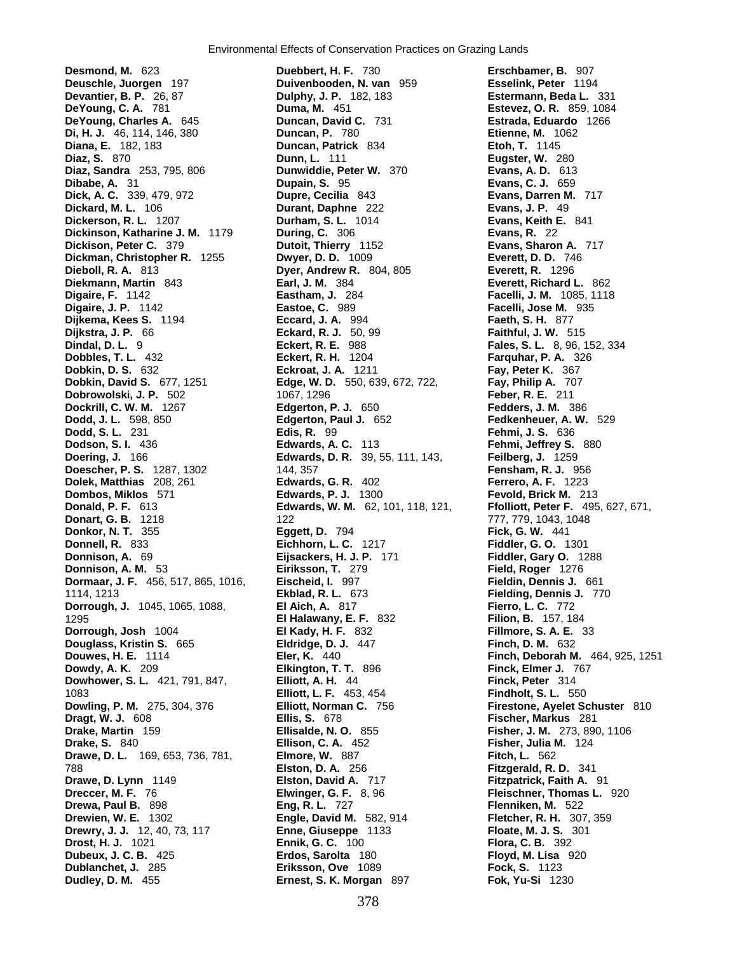**Desmond, M.** 623 **Duebbert, H. F.** 730 **Erschbamer, B.** 907 **Deuschle, Juorgen** 197 **Duivenbooden, N. van** 959 **Devantier, B. P.** 26, 87 **Duiphy, J. P.** 182, 183 **DeYoung, C. A.** 781 **Duma, M.** 451 **Estevez, O. R.** 859, 1084 **DeYoung, Charles A.** 645 **Duncan, David C.** 731 **Estrada, Eduardo** 1266 **Di, H. J.** 46, 114, 146, 380 **Duncan, P.** 780 **Etienne, M.** 1062 **Diana, E.** 182, 183 **Duncan, Patrick** 834 **Etoh, T.** 1145 **Diaz, S.** 870 **Dunn, L.** 111 **Eugster, W.** 280 **Diaz, Sandra** 253, 795, 806 **Dunwiddie, Peter W.** 370 **Evans, A. D.** 613 **Dibabe, A.** 31 **Dupain, S.** 95 **Evans, C. J.** 659 **Dick, A. C.** 339, 479, 972 **Dupre, Cecilia** 843 **Evans, Darren M.** 717 **Dickerson, R. L.** 1207 **Durham, S. L.** 1014 **Evans, Keith E.** 841 **Dickinson, Katharine J. M.** 1179 **During, C.** 306 **Evans, R.** 22 **Dickison, Peter C.** 379 **Dutoit, Thierry** 1152 **Evans, Sharon A.** 717 **Dickman, Christopher R.** 1255 **Dwyer, D. D.** 1009 **Everett, D. D.** 746 **Dieboll, R. A.** 813 **Dyer, Andrew R.** 804, 805 **Everett, R.** 1296 **Diekmann, Martin** 843 **Earl, J. M.** 384 **Everett, Richard L.** 862 **Digaire, F.** 1142 **Eastham, J.** 284 **Facelli, J. M.** 1085, 1118 **Digaire, J. P.** 1142 **Eastoe, C.** 989 **Facelli, Jose M.** 935 **Dijkema, Kees S.** 1194 **Eccard, J. A.** 994 **Faeth, S. H.** 877 **Dijkstra, J. P.** 66 **Eckard, R. J.** 50, 99 **Faithful, J. W.** 515 **Dindal, D. L.** 9 **Eckert, R. E.** 988 **Fales, S. L.** 8, 96, 152, 334 **Dobbles, T. L.** 432 **Eckert, R. H.** 1204 **Farquhar, P. A.** 326 **Dobkin, D. S.** 632 **Eckroat, J. A.** 1211 **Fay, Peter K.** 367 **Dobkin, David S.** 677, 1251 **Edge, W. D.** 550, 639, 672, 722, **Fay, Philip A.** 707 **Dobrowolski, J. P.** 502 1067, 1296 **Feber, R. E.** 211 **Dockrill, C. W. M.** 1267 **Edgerton, P. J.** 650 **Dodd, J. L.** 598, 850 **Edgerton, Paul J.** 652 **Fedkenheuer, A. W.** 529 **Dodson, S. I.** 436 **Edwards, A. C.** 113 **Fehmi, Jeffrey S.** 880<br> **Doering, J.** 166 **Edwards, D. R.** 39, 55, 111, 143, Feilberg, J. 1259 **Doering, J.** 166 **Edwards, D. R.** 39, 55, 111, 143, **Doescher, P. S.** 1287, 1302 144, 357 1502 144, 357 **Fensham, R. J.** 956 **Dolek, Matthias** 208, 261 **Edwards, G. R.** 402 **Ferrero, A. F.** 1223 **Dombos, Miklos** 571 **Edwards, P. J.** 1300 **Fevold, Brick M.** 213 **Donald, P. F.** 613 **Edwards, W. M.** 62, 101, 118, 121, **Ffolliott, Peter F.** 495, 627, 671, **Donart, G. B.** 1218 122 777, 779, 1043, 1048 **Donkor, N. T.** 355 **Eggett, D.** 794 **Fick, G. W.** 441 **Donnell, R.** 833 **Eichhorn, L. C.** 1217 **Fiddler, G. O.** 1301 **Donnison, A.** 69 **Eijsackers, H. J. P.** 171 **Fiddler, Gary O.** 1288 **Donnison, A. M.** 53 **Eiriksson, T.** 279 **Field, Roger** 1276 **Dormaar, J. F.** 456, 517, 865, 1016, **Eischeid, I.** 997 1114, 1213 **Ekblad, R. L.** 673 **Fielding, Dennis J.** 770 **Dorrough, J.** 1045, 1065, 1088, **El Aich, A.** 817 **Fierro, L. C.** 772 1295 **El Halawany, E. F.** 832 **Filion, B.** 157, 184 **Dorrough, Josh** 1004 **El Kady, H. F.** 832 **Fillmore, S. A. E.** 33 **Douglass, Kristin S.** 665 **Eldridge, D. J.** 447 **Finch, D. M.** 632 **Douwes, H. E.** 1114 **Eler, K.** 440 **Finch, Deborah M.** 464, 925, 1251 **Dowdy, A. K.** 209 **Elkington, T. T.** 896 **Finck, Elmer J.** 7<br>**Dowhower, S. L.** 421, 791, 847, **Elliott, A. H.** 44 **Finck, Peter** 314 **Dowhower, S. L.** 421, 791, 847, **Elliott, A. H. 44 Finck, Peter** 314 **Finck, Peter** 314 **Findholt, S. L.** 550 **Elliott, L. F.** 453, 454 **Dowling, P. M.** 275, 304, 376 **Elliott, Norman C.** 756 **Firestone, Ayelet Schuster** 810 **Dragt, W. J.** 608 **Ellis, S.** 678 **Fischer, Markus** 281 **Drake, Martin** 159 **Ellisalde, N. O.** 855 **Fisher, J. M.** 273, 890, 1106 **Drake, S.** 840 **Ellison, C. A.** 452 **Fisher, Julia M.** 124 **Drawe, D. L.** 169, 653, 736, 781, **Elmore, W.** 887 **Fitch, L.** 562 788 **Elston, D. A.** 256 **Fitzgerald, R. D.** 341 **Drawe, D. Lynn** 1149 **Elston, David A.** 717 **Fitzpatrick, Faith A.** 91 **Dreccer, M. F.** 76 **Elwinger, G. F.** 8, 96 **Fleischner, Thomas L.** 920 **Drewa, Paul B.** 898 **Eng, R. L.** 727 **Flenniken, M.** 522 **Drewien, W. E.** 1302 **Engle, David M.** 582, 914 **Fletcher, R. H.** 307, 359 **Drewry, J. J.** 12, 40, 73, 117 **Enne, Giuseppe** 1133 **Drost, H. J.** 1021 **Ennik, G. C.** 100 **Flora, C. B.** 392 **Dubeux, J. C. B.** 425 **Erdos, Sarolta** 180 **Floyd, M. Lisa** 920 **Dublanchet, J.** 285 **Eriksson, Ove** 1089 **Fock, S.** 1123

**Devantier, B. P.** 26, 87 **Dulphy, J. P.** 182, 183 **Estermann, Beda L.** 331 **Dickard, M. L.** 106 **Durant, Daphne** 222 **Evans, J. P.** 49 **Dodd, S. L.** 231 **Edis, R.** 99 **Fehmi, J. S.** 636 **Dudley, D. M.** 455 **Ernest, S. K. Morgan** 897 **Fok, Yu-Si** 1230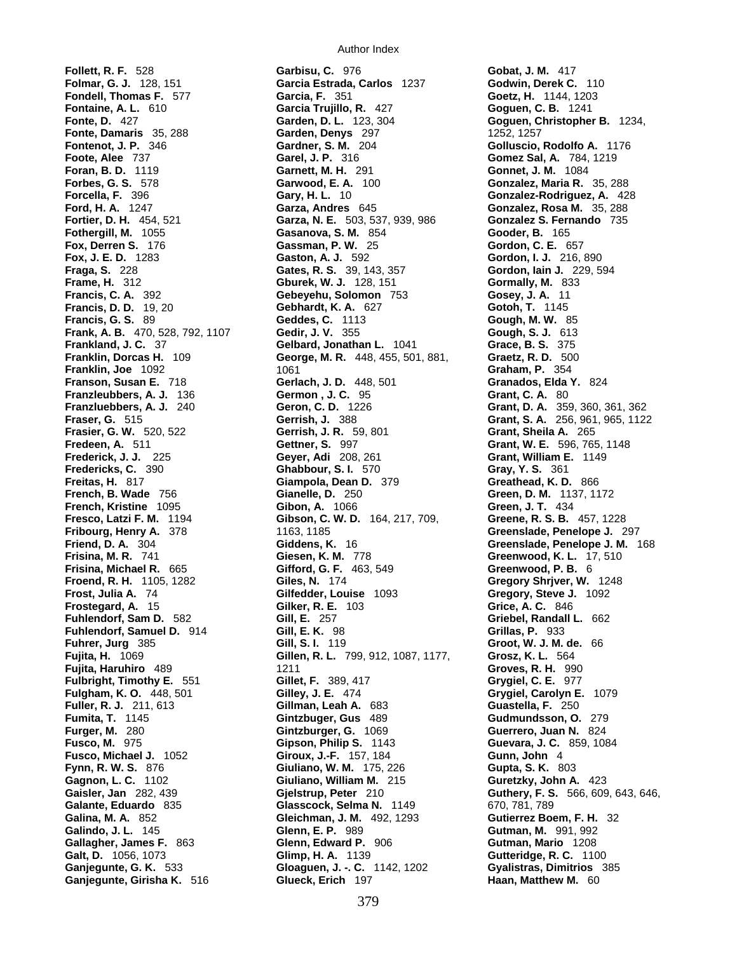**Foran, B. D.** 1119 **Garnett, M. H.** 291 **Franzleubbers, A. J.** 136 **Germon , J. C.** 95 **Frasier, G. W.** 520, 522 **Gerrish, J. R.** 59, 801<br> **Fredeen, A.** 511 **Gettner, S.** 997<br> **Frederick, J. J.** 225 **Geyer, Adi** 208, 261

Author Index

**Follett, R. F.** 528 **Garbisu, C.** 976 **Gobat, J. M.** 417 **Folmar, G. J.** 128, 151 **Garcia Estrada, Carlos** 1237 **Godwin, Derek C.** 110 **Fondell, Thomas F.** 577 **Garcia, F.** 351 **Goetz, H.** 1144, 1203 **Fontaine, A. L.** 610 **Garcia Trujillo, R.** 427 **Goguen, C. B.** 1241 **Fonte, D.** 427 **Garden, D. L.** 123, 304 **Goguen, Christopher B.** 1234, **Fonte, Damaris** 35, 288 **Garden, Denys** 297 1252, 1257 **Fontenot, J. P.** 346 **Gardner, S. M.** 204 **Golluscio, Rodolfo A.** 1176 **Footer 7 Gomez Sal, A.** 784, 1219<br>**Garnett, M. H.** 291 **Gonnet, J. M. 1084 Forbes, G. S.** 578 **Garwood, E. A.** 100 **Gonzalez, Maria R.** 35, 288 **Forcella, F.** 396 **Gary, H. L.** 10 **Gonzalez-Rodriguez, A.** 428 **Garza, Andres** 645 **Gonzalez, Rosa M.** 35, 288 **Fortier, D. H.** 454, 521 **Garza, N. E.** 503, 537, 939, 986 **Gonzalez S. Fernando** 735 **Fothergill, M.** 1055 **Gasanova, S. M.** 854 **Gooder, B.** 165 **Fox, Derren S.** 176 **Gassman, P. W.** 25 **Gordon, C. E.** 657 **Fox, J. E. D.** 1283 **Gaston, A. J.** 592 **Gordon, I. J.** 216, 890 **Fraga, S.** 228 **Gates, R. S.** 39, 143, 357 **Gordon, Iain J.** 229, 594 **Frame, H.** 312 **Gburek, W. J.** 128, 151 **Gormally, M.** 833 **Francis, C. A.** 392 **Gebeyehu, Solomon** 753 **Gosey, J. A.** 11 **Francis, D. D.** 19, 20 **Gebhardt, K. A.** 627 **Gotoh, T.** 1145 **Francis, G. S.** 89 **Geddes, C.** 1113 **Gough, M. W.** 85 **Frank, A. B.** 470, 528, 792, 1107 **Gedir, J. V.** 355 **Gough, S. J.** 613 **Frankland, J. C.** 37 **Gelbard, Jonathan L.** 1041 **Grace, B. S.** 375 **Franklin, Dorcas H.** 109 **George, M. R.** 448, 455, 501, 881, **Graetz, R. D.** 500 **Franklin, Joe** 1092 **1061** 1061 **Graham, P.** 354 **Franson, Susan E.** 718 **Gerlach, J. D.** 448, 501 **Granados, Elda Y.** 824 **Franzluebbers, A. J.** 240 **Geron, C. D.** 1226 **Grant, D. A.** 359, 360, 361, 362 **Fraser, G.** 515 **Gerrish, J.** 388 **Grant, S. A.** 256, 961, 965, 1122 **Frederick, J. J.** 225 **Geyer, Adi** 208, 261 **Grant, William E.** 1149 **Fredericks, C.** 390 **Ghabbour, S. I.** 570 **Gray, Y. S.** 361 **Freitas, H.** 817 **Giampola, Dean D.** 379 **Greathead, K. D.** 866 **French, B. Wade** 756 **Gianelle, D.** 250 **Green, D. M.** 1137, 1172 **French, Kristine** 1095 **Gibon, A.** 1066 **Green, J. T.** 434 **Fresco, Latzi F. M.** 1194 **Gibson, C. W. D.** 164, 217, 709, **Greene, R. S. B.** 457, 1228 **Fribourg, Henry A.** 378 1163, 1185 **Greenslade, Penelope J.** 297 **Friend, D. A.** 304 **Giddens, K.** 16 **Greenslade, Penelope J. M.** 168 **Frisina, M. R.** 741 **Giesen, K. M.** 778 **Greenwood, K. L.** 17, 510 **Frisina, Michael R.** 665 **Gifford, G. F.** 463, 549 **Greenwood, P. B.** 6 **Froend, R. H.** 1105, 1282 **Giles, N.** 174 **Gregory Shrjver, W.** 1248 **Frost, Julia A.** 74 **Gilfedder, Louise** 1093 **Gregory, Steve J.** 1092 **Frostegard, A.** 15 **Gilker, R. E.** 103 **Grice, A. C.** 846 **Fuhlendorf, Sam D.** 582 **Gill, E.** 257 **Griebel, Randall L.** 662 **Fuhlendorf, Samuel D.** 914 **Gill, E. K.** 98 **Grillas, P.** 933 **Fuhrer, Jurg** 385 **Gill, S. I.** 119 **Groot, W. J. M. de.** 66 **Fujita, H.** 1069 **Gillen, R. L.** 799, 912, 1087, 1177, **Grosz, K. L.** 564 **Fujita, Haruhiro** 489 1211 **Groves, R. H.** 990 **Fulbright, Timothy E.** 551 **Gillet, F.** 389, 417 **Grygiel, C. E.** 977 **Gilley, J. E.** 474 **Grygiel, Carolyn E.** 1079 **Fuller, R. J.** 211, 613 **Gillman, Leah A.** 683 **Guastella, F.** 250 **Fumita, T.** 1145 **Gintzbuger, Gus** 489 **Gudmundsson, O.** 279 **Furger, M.** 280 **Gintzburger, G.** 1069 **Guerrero, Juan N.** 824 **Fusco, M.** 975 **Gipson, Philip S.** 1143 **Guevara, J. C.** 859, 1084 **Fusco, Michael J.** 1052 **Giroux, J.-F.** 157, 184 **Gunn, John** 4 **Fynn, R. W. S.** 876 **Giuliano, W. M.** 175, 226 **Gupta, S. K.** 803 **Gagnon, L. C.** 1102 **Giuliano, William M.** 215 **Guretzky, John A.** 423 **Gaisler, Jan** 282, 439 **Gjelstrup, Peter** 210 **Guthery, F. S.** 566, 609, 643, 646, **Galante, Eduardo** 835 **Glasscock, Selma N.** 1149 670, 781, 789 **Galina, M. A.** 852 **Gleichman, J. M.** 492, 1293 **Gutierrez Boem, F. H.** 32 **Galindo, J. L.** 145 **Glenn, E. P.** 989 **Gutman, M.** 991, 992 **Gallagher, James F.** 863 **Glenn, Edward P.** 906 **Gutman, Mario** 1208 **Galt, D.** 1056, 1073 **Glimp, H. A.** 1139 **Gutteridge, R. C.** 1100 **Ganjegunte, G. K.** 533 **Gloaguen, J. -. C.** 1142, 1202 **Gyalistras, Dimitrios** 385 **Ganjegunte, Girisha K.** 516 **Glueck, Erich** 197 **Haan, Matthew M.** 60

**Grant, W. E.** 596, 765, 1148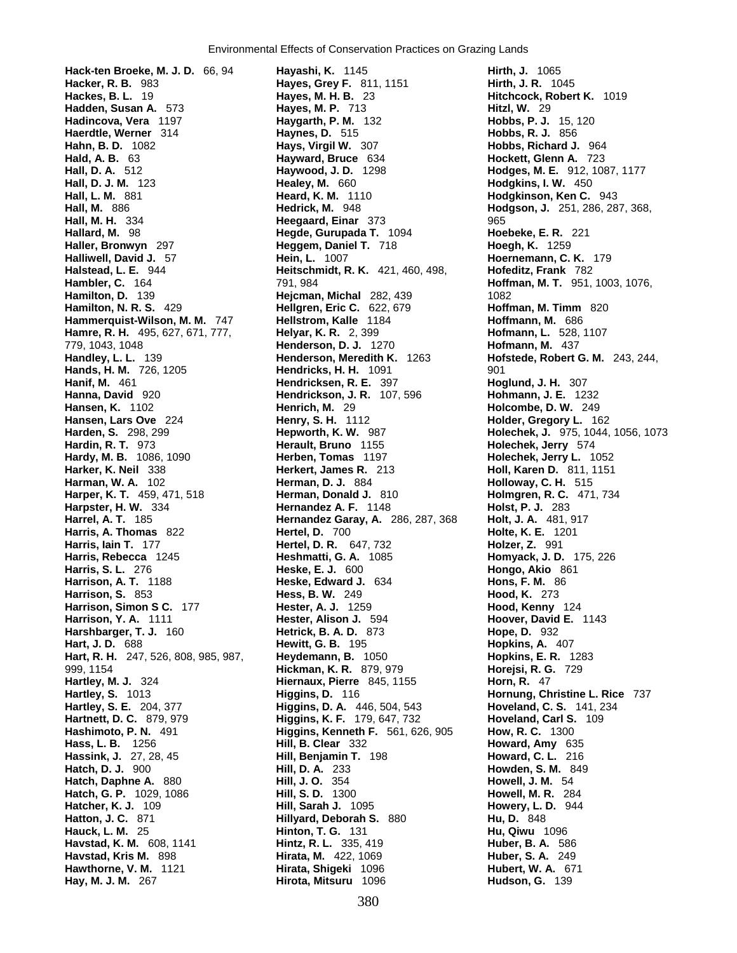**Hanna, David** 920 **Hendrickson, J. R.** 107, 596 **Hansen, K.** 1102 **Henrich, M.** 29 999, 1154 **Hickman, K. R.** 879, 979 **Horejsi, R. G.** 729 **Havstad, Kris M. 898** 

**Hack-ten Broeke, M. J. D.** 66, 94 **Hayashi, K.** 1145 **Hirth, J.** 1065 **Hacker, R. B.** 983 **Hayes, Grey F.** 811, 1151 **Hirth, J. R.** 1045<br> **Hackes. B. L.** 19 **Hitchcock, Rober Hitchcock, Rober Hitchcock, Rober Hayes, M. H. B.** 23 **Hitchcock, Robert K.** 1019 **Hadden, Susan A.** 573 **Hayes, M. P.** 713 **Hitzl, W.** 29 **Hadincova, Vera** 1197 **Haygarth, P. M.** 132 **Hobbs, P. J.** 15, 120 **Haerdtle, Werner** 314 **Haynes, D.** 515 **Hobbs, R. J.** 856 **Hahn, B. D.** 1082 **Hays, Virgil W.** 307 **Hobbs, Richard J.** 964 **Hald, A. B.** 63 **Hayward, Bruce** 634 **Hockett, Glenn A.** 723 **Hall, D. A.** 512 **Haywood, J. D.** 1298 **Hodges, M. E.** 912, 1087, 1177 **Hall, D. J. M.** 123 **Healey, M.** 660 **Hodgkins, I. W.** 450 **Hall, L. M.** 881 **Heard, K. M.** 1110 **Hodgkinson, Ken C.** 943 **Hall, M.** 886 **Hedrick, M.** 948 **Hodgson, J.** 251, 286, 287, 368, **Hall, M. H.** 334 **Heegaard, Einar** 373 965 **Hallard, M.** 98 **Hegde, Gurupada T.** 1094 **Hoebeke, E. R.** 221 **Haller, Bronwyn** 297 **Heggem, Daniel T.** 718 **Hoegh, K.** 1259 **Halliwell, David J.** 57 **Hein, L.** 1007 **Hoernemann, C. K.** 179 **Halstead, L. E.** 944 **Heitschmidt, R. K.** 421, 460, 498, **Hofeditz, Frank** 782 **Hambler, C.** 164 791, 984 **Hoffman, M. T.** 951, 1003, 1076, **Hamilton, D.** 139 **Hejcman, Michal** 282, 439 1082 **Hamilton, N. R. S.** 429 **Hellgren, Eric C.** 622, 679 **Hoffman, M. Timm** 820 **Hammerquist-Wilson, M. M.** 747 **Hellstrom, Kalle** 1184 **Hoffmann, M.** 686 **Hamre, R. H.** 495, 627, 671, 777, **Helyar, K. R.** 2, 399 **Hofmann, L.** 528, 1107 779, 1043, 1048 **Henderson, D. J.** 1270 **Hofmann, M.** 437 **Handley, L. L.** 139 **Henderson, Meredith K.** 1263 **Hofstede, Robert G. M.** 243, 244, **Hands, H. M.** 726, 1205 **Hendricks, H. H.** 1091 901 **Hanif, M.** 461 **Hendricksen, R. E.** 397 **Hoglund, J. H.** 307 **Hansen, K.** 1102 **Henrich, M.** 29 **Holcombe, D. W.** 249 **Harden, S.** 298, 299 **Hepworth, K. W.** 987 **Holechek, J.** 975, 1044, 1056, 1073 **Hardin, R. T.** 973 **Herault, Bruno** 1155 **Holechek, Jerry** 574 **Hardy, M. B.** 1086, 1090 **Herben, Tomas** 1197 **Holechek, Jerry L.** 1052 **Harker, K. Neil** 338 **Herkert, James R.** 213 **Holl, Karen D.** 811, 1151 **Harman, W. A.** 102 **Herman, D. J.** 884 **Holloway, C. H.** 515 **Harper, K. T.** 459, 471, 518 **Herman, Donald J.** 810 **Holmgren, R. C.** 471, 734 **Harpster, H. W.** 334 **Hernandez A. F.** 1148 **Holst, P. J.** 283 **Harrel, A. T.** 185 **Hernandez Garay, A.** 286, 287, 368 **Holt, J. A.** 481, 917 **Harris, A. Thomas** 822 **Hertel, D.** 700 **Holte, K. E.** 1201 **Harris, Iain T.** 177 **Hertel, D. R.** 647, 732 **Holzer, Z.** 991 **Harris, Rebecca** 1245 **Heshmatti, G. A.** 1085 **Homyack, J. D.** 175, 226 **Harris, S. L.** 276 **Heske, E. J.** 600 **Hongo, Akio** 861 **Harrison, A. T.** 1188 **Heske, Edward J.** 634 **Hons, F. M.** 86 **Harrison, S.** 853 **Hess, B. W.** 249 **Hood, K.** 273 **Harrison, Simon S C.** 177 **Hester, A. J.** 1259 **Hood, Kenny** 124 **Harrison, Y. A.** 1111 **Hester, Alison J.** 594 **Hoover, David E.** 1143 **Harshbarger, T. J.** 160 **Hetrick, B. A. D.** 873 **Hope, D.** 932 **Hart, J. D.** 688 **Hewitt, G. B.** 195 **Hopkins, A.** 407 **Hart, R. H.** 247, 526, 808, 985, 987, **Heydemann, B.** 1050 **Hopkins, E. R.** 1283 **Hartley, M. J.** 324 **Hiernaux, Pierre** 845, 1155 **Horn, R.** 47 **Hartley, S.** 1013 **Higgins, D.** 116 **Hornung, Christine L. Rice** 737 **Hartley, S. E.** 204, 377 **Higgins, D. A.** 446, 504, 543 **Hoveland, C. S.** 141, 234 **Hartnett, D. C.** 879, 979 **Higgins, K. F.** 179, 647, 732 **Hoveland, Carl S.** 109 **Hashimoto, P. N.** 491 **Higgins, Kenneth F.** 561, 626, 905 **How, R. C.** 1300 **Hass, L. B.** 1256 **Hill, B. Clear** 332 **Howard, Amy** 635 **Hassink, J.** 27, 28, 45 **Hill, Benjamin T.** 198 **Howard, C. L.** 216 **Hatch, D. J.** 900 **Hill, D. A.** 233 **Howden, S. M.** 849 **Hatch, Daphne A.** 880 **Hill, J. O.** 354 **Howell, J. M.** 54 **Hatch, G. P.** 1029, 1086 **Hill, S. D.** 1300 **Howell, M. R.** 284 **Hatcher, K. J.** 109 **Hill, Sarah J.** 1095 **Howery, L. D.** 944 **Hatton, J. C.** 871 **Hillyard, Deborah S.** 880 **Hu, D.** 848 **Hauck, L. M.** 25 **Hinton, T. G.** 131 **Hu, Qiwu** 1096 **Havstad, K. M.** 608, 1141 **Hintz, R. L.** 335, 419 **Huber, B. A.** 586 **Hawthorne, V. M.** 1121 **Hirata, Shigeki** 1096 **Hubert, W. A.** 671 **Hay, M. J. M.** 267 **Hirota, Mitsuru** 1096 **Hudson, G.** 139

**Holder, Gregory L. 162**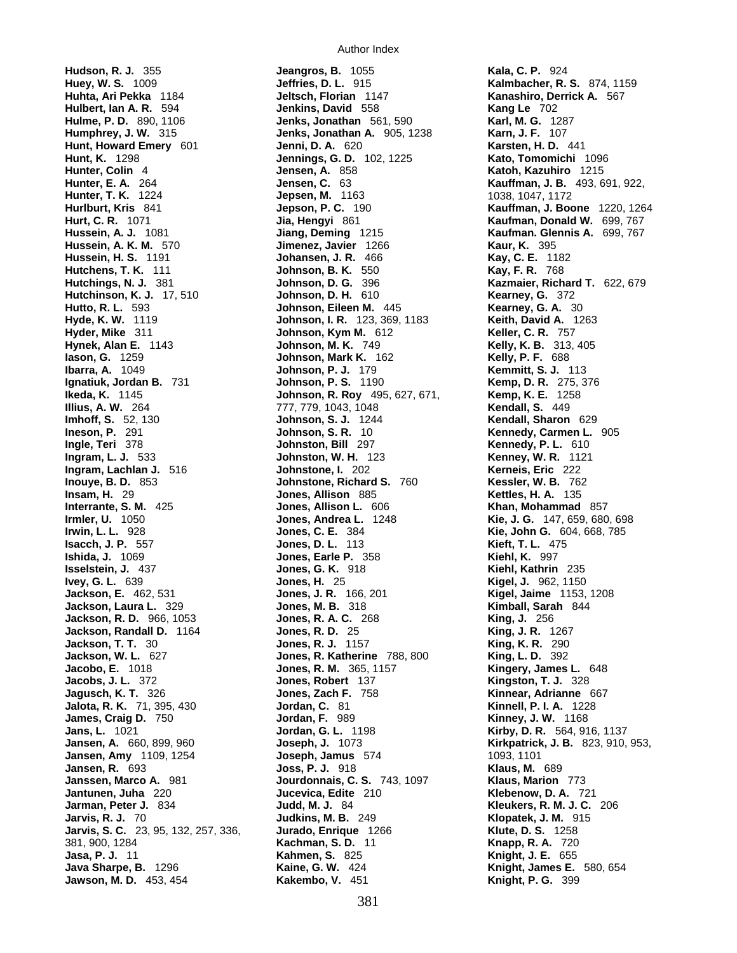**Ikeda, K.** 1145 **Johnson, R. Roy** 495, 627, 671, **Jawson, M. D.** 453, 454 **Kakembo, V.** 451 **Knight, P. G.** 399

**Hudson, R. J.** 355 **Jeangros, B.** 1055 **Kala, C. P.** 924 **Huey, W. S.** 1009 **Jeffries, D. L.** 915 **Kalmbacher, R. S.** 874, 1159 **Hulbert, Ian A. R.** 594 **Jenkins, David** 558 **Kang Le** 702 **Hulme, P. D.** 890, 1106 **Jenks, Jonathan** 561, 590 **Karl, M. G.** 1287 **Humphrey, J. W.** 315 **Jenks, Jonathan A.** 905, 1238 **Karn, J. F.** 107 **Hunt, Howard Emery** 601 **Jenni, D. A.** 620 **Karsten, H. D.** 441 **Hunt, K.** 1298 **Jennings, G. D.** 102, 1225 **Kato, Tomomichi** 1096 **Hunter, Colin** 4 **Jensen, A.** 858 **Katoh, Kazuhiro** 1215 **Hunter, E. A.** 264 **Jensen, C.** 63 **Kauffman, J. B.** 493, 691, 922, **Hunter, T. K.** 1224 **Jepsen, M.** 1163 1038, 1047, 1172 **Hurlburt, Kris** 841 **Jepson, P. C.** 190 **Kauffman, J. Boone** 1220, 1264 **Hurt, C. R.** 1071 **Jia, Hengyi** 861 **Kaufman, Donald W.** 699, 767 **Hussein, A. J.** 1081 **Jiang, Deming** 1215 **Kaufman. Glennis A.** 699, 767 **Hussein, A. K. M.** 570 **Jimenez, Javier** 1266 **Kaur, K.** 395 **Hussein, H. S.** 1191 **Johansen, J. R.** 466 **Kay, C. E.** 1182 **Hutchens, T. K.** 111 **Johnson, B. K.** 550 **Kay, F. R.** 768 **Hutchings, N. J.** 381 **Johnson, D. G.** 396 **Kazmaier, Richard T.** 622, 679 **Hutchinson, K. J.** 17, 510 **Johnson, D. H.** 610 **Kearney, G.** 372 **Hutto, R. L.** 593 **Johnson, Eileen M.** 445 **Kearney, G. A.** 30 **Hyde, K. W.** 1119 **Johnson, I. R.** 123, 369, 1183 **Keith, David A.** 1263 **Hyder, Mike** 311 **Johnson, Kym M.** 612 **Keller, C. R.** 757 **Hynek, Alan E.** 1143 **Johnson, M. K.** 749 **Kelly, K. B.** 313, 405 **Iason, G.** 1259 **Johnson, Mark K.** 162 **Kelly, P. F.** 688 **Ibarra, A.** 1049 **Johnson, P. J.** 179 **Kemmitt, S. J.** 113 **Ignatiuk, Jordan B.** 731 **Johnson, P. S.** 1190 **Kemp, D. R.** 275, 376 **Illius, A. W.** 264 **777, 779, 1043, 1048 Kendall, S. 449 Kendall, S. 449 Imhoff, S.** 52, 130 **Medall, Sharon Johnson, S. J.** 1244 **Kendall, Sharon Johnson, S. J.** 1244 **Kendall, Sharon** 629 **Ineson, P.** 291 **Johnson, S. R.** 10 **Kennedy, Carmen L.** 905 **Ingle, Teri** 378 **Johnston, Bill** 297 **Kennedy, P. L.** 610 **Ingram, L. J.** 533 **Johnston, W. H.** 123 **Kenney, W. R.** 1121 **Ingram, Lachlan J.** 516 **Johnstone, I.** 202 **Kerneis, Eric** 222 **Inouye, B. D.** 853 **Johnstone, Richard S.** 760 **Kessler, W. B.** 762 **Insam, H.** 29 **Jones, Allison** 885 **Kettles, H. A.** 135 **Interrante, S. M.** 425 **Jones, Allison L.** 606 **Khan, Mohammad** 857 **Irmler, U.** 1050 **Jones, Andrea L.** 1248 **Kie, J. G.** 147, 659, 680, 698 **Irwin, L. L.** 928 **Jones, C. E.** 384 **Kie, John G.** 604, 668, 785 **Isacch, J. P.** 557 **Jones, D. L.** 113 **Kieft, T. L.** 475 **Ishida, J.** 1069 **Jones, Earle P.** 358 **Kiehl, K.** 997 **Isselstein, J.** 437 **Jones, G. K.** 918 **Kiehl, Kathrin** 235 **Ivey, G. L.** 639 **Jones, H.** 25 **Kigel, J.** 962, 1150 **Jackson, E.** 462, 531 **Jones, J. R.** 166, 201 **Kigel, Jaime** 1153, 1208 **Jackson, Laura L.** 329 **Jones, M. B.** 318 **Kimball, Sarah** 844 **Jackson, R. D.** 966, 1053 **Jones, R. A. C.** 268 **King, J.** 256 **Jackson, Randall D.** 1164 **Jones, R. D.** 25 **King, J. R.** 1267 **Jackson, T. T.** 30 **Jones, R. J.** 1157 **King, K. R.** 290 **Jackson, W. L.** 627 **Jones, R. Katherine** 788, 800 **King, L. D.** 392 **Jacobo, E.** 1018 **Jones, R. M.** 365, 1157 **Kingery, James L.** 648 **Jacobs, J. L.** 372 **Jones, Robert** 137 **Kingston, T. J.** 328 **Jagusch, K. T.** 326 **Jones, Zach F.** 758 **Kinnear, Adrianne** 667 **Jalota, R. K.** 71, 395, 430 **Jordan, C.** 81 **Kinnell, P. I. A.** 1228 **James, Craig D.** 750 **Jordan, F.** 989 **Kinney, J. W.** 1168 **Jans, L.** 1021 **Jordan, G. L.** 1198 **Kirby, D. R.** 564, 916, 1137 **Jansen, A.** 660, 899, 960 **Joseph, J.** 1073 **Kirkpatrick, J. B.** 823, 910, 953, **Jansen, Amy** 1109, 1254 **Joseph, Jamus** 574 1093, 1101 **Jansen, R.** 693 **Joss, P. J.** 918 **Klaus, M.** 689 **Janssen, Marco A.** 981 **Jourdonnais, C. S.** 743, 1097 **Klaus, Marion** 773 **Jantunen, Juha** 220 **Jucevica, Edite** 210 **Klebenow, D. A.** 721 **Jarman, Peter J.** 834 **Judd, M. J.** 84 **Kleukers, R. M. J. C.** 206 **Jarvis, R. J.** 70 **Judkins, M. B.** 249 **Klopatek, J. M.** 915 **Jarvis, S. C.** 23, 95, 132, 257, 336, **Jurado, Enrique** 1266 **Klute, D. S.** 1258 381, 900, 1284 **Kachman, S. D.** 11 **Knapp, R. A.** 720 **Jasa, P. J.** 11 **Kahmen, S.** 825 **Knight, J. E.** 655 **Java Sharpe, B.** 1296 **Kaine, G. W.** 424 **Knight, James E.** 580, 654

**Kanashiro, Derrick A.** 567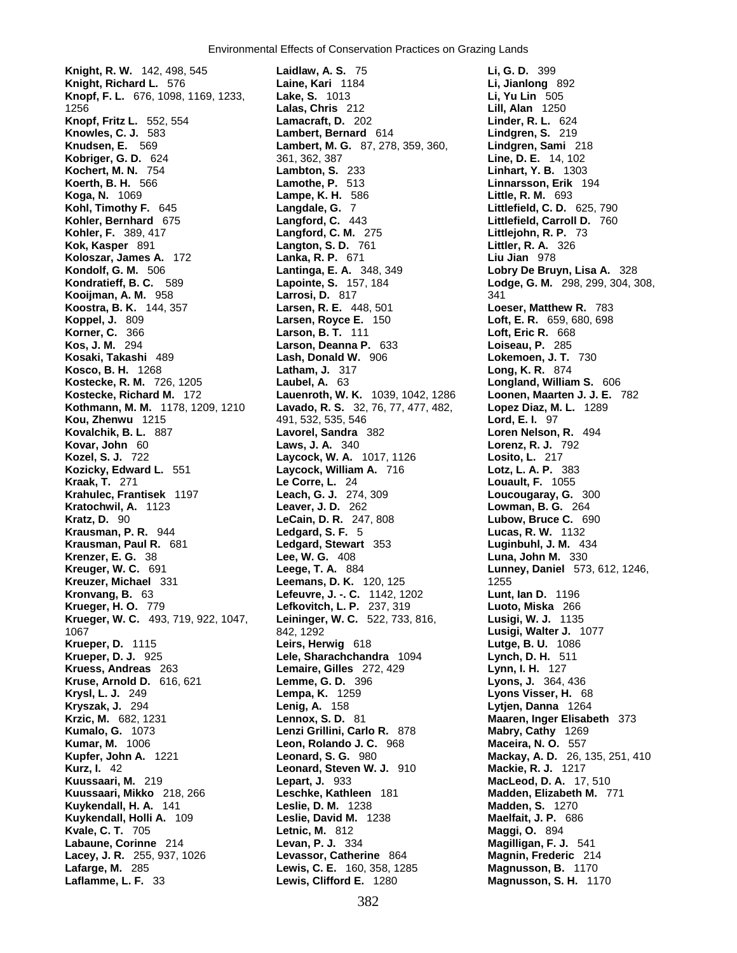**Knight, R. W.** 142, 498, 545 **Laidlaw, A. S.** 75 **Li, G. D.** 399 **Knight, Richard L.** 576 **Laine, Kari** 1184 **Li, Jianlong** 892 **Knopf, F. L.** 676, 1098, 1169, 1233, **Lake, S.** 1013 **Li, Yu Lin** 505 1256 **Lalas, Chris** 212 **Lill, Alan** 1250 **Knopf, Fritz L.** 552, 554 **Lamacraft, D.** 202 **Knowles, C. J.** 583 **Lambert, Bernard** 614 **Lindgren, S.** 219 **Knudsen, E.** 569 **Lambert, M. G.** 87, 278, 359, 360, **Lindgren, Sami** 218 **Kobriger, G. D.** 624 361, 362, 387 **Line, D. E.** 14, 102 **Kochert, M. N.** 754 **Lambton, S.** 233 **Linhart, Y. B.** 1303 **Koerth, B. H.** 566 **Lamothe, P.** 513 **Linnarsson, Erik** 194 **Koga, N.** 1069 **Lampe, K. H.** 586 **Little, R. M.** 693 **Kohl, Timothy F.** 645 **Langdale, G.** 7 **Littlefield, C. D.** 625, 790 **Kohler, Bernhard** 675 **Langford, C.** 443 **Littlefield, Carroll D.** 760 **Kohler, F.** 389, 417 **Langford, C. M.** 275 **Littlejohn, R. P.** 73 **Kok, Kasper** 891 **Langton, S. D.** 761 **Littler, R. A.** 326 **Koloszar, James A.** 172 **Lanka, R. P.** 671 **Liu Jian** 978 **Kondolf, G. M.** 506 **Lantinga, E. A.** 348, 349 **Lobry De Bruyn, Lisa A.** 328 **Kondratieff, B. C.** 589 **Lapointe, S.** 157, 184 **Lodge, G. M.** 298, 299, 304, 308, **Kooijman, A. M.** 958 **Larrosi, D.** 817 341 **Koostra, B. K.** 144, 357 **Larsen, R. E.** 448, 501 **Loeser, Matthew R.** 783 **Koppel, J.** 809 **Larsen, Royce E.** 150 **Loft, E. R.** 659, 680, 698 **Korner, C.** 366 **Larson, B. T.** 111 **Loft, Eric R.** 668 **Kos, J. M.** 294 **Larson, Deanna P.** 633 **Loiseau, P.** 285 **Kosaki, Takashi** 489 **Lash, Donald W.** 906 **Lokemoen, J. T.** 730 **Kosco, B. H.** 1268 **Latham, J.** 317 **Long, K. R.** 874 **Kostecke, R. M.** 726, 1205 **Laubel, A.** 63 **Longland, William S.** 606 **Kostecke, Richard M.** 172 **Lauenroth, W. K.** 1039, 1042, 1286 **Loonen, Maarten J. J. E.** 782 **Kothmann, M. M. 1178, 1209, 1210 Lavado, R. S. 32, 76, 77, 477, 482, Kou, Zhenwu** 1215 491, 532, 535, 546 **Lord, E. I.** 97 **Kovalchik, B. L.** 887 **Lavorel, Sandra** 382 **Loren Nelson, R.** 494 **Kovar, John** 60 **Laws, J. A.** 340 **Lorenz, R. J.** 792 **Kozel, S. J.** 722 **Laycock, W. A.** 1017, 1126 **Kozicky, Edward L.** 551 **Laycock, William A.** 716 **Lotz, L. A. P.** 383 **Kraak, T.** 271 **Le Corre, L.** 24 **Louault, F.** 1055 **Krahulec, Frantisek** 1197 **Leach, G. J.** 274, 309 **Loucougaray, G.** 300 **Kratochwil, A.** 1123 **Leaver, J. D.** 262 **Lowman, B. G.** 264 **Kratz, D.** 90 **LeCain, D. R.** 247, 808 **Lubow, Bruce C.** 690 **Krausman, P. R.** 944 **Ledgard, S. F.** 5 **Lucas, R. W.** 1132 **Krausman, Paul R.** 681 **Ledgard, Stewart** 353 **Luginbuhl, J. M.** 434 **Krenzer, E. G.** 38 **Lee, W. G.** 408 **Luna, John M.** 330 **Kreuger, W. C.** 691 **Leege, T. A.** 884 **Lunney, Daniel** 573, 612, 1246, **Kreuzer, Michael** 331 **Leemans, D. K.** 120, 125 1255 **Kronvang, B.** 63 **Lefeuvre, J. -. C.** 1142, 1202 **Lunt, Ian D.** 1196 **Krueger, H. O.** 779 **Lefkovitch, L. P.** 237, 319 **Luoto, Miska** 266 **Krueger, W. C.** 493, 719, 922, 1047, **Leininger, W. C.** 522, 733, 816, **Lusigi, W. J.** 1135 1067 842, 1292 **Lusigi, Walter J.** 1077 **Krueper, D.** 1115 **Leirs, Herwig** 618 **Lutge, B. U.** 1086 **Kruess, Andreas** 263 **Lemaire, Gilles** 272, 429 **Lynn, I. H.** 127 **Kruse, Arnold D.** 616, 621 **Lemme, G. D.** 396 **Lyons, J.** 364, 436 **Krysl, L. J.** 249 **Lempa, K.** 1259 **Lyons Visser, H.** 68 **Krzic, M.** 682, 1231 **Lennox, S. D.** 81 **Maaren, Inger Elisabeth** 373 **Kumalo, G.** 1073 **Lenzi Grillini, Carlo R.** 878 **Kumar, M.** 1006 **Leon, Rolando J. C.** 968 **Maceira, N. O.** 557 **Kupfer, John A.** 1221 **Leonard, S. G.** 980 **Mackay, A. D.** 26, 135, 251, 410 **Kurz, I.** 42 **Leonard, Steven W. J.** 910 **Mackie, R. J.** 1217 **Kuussaari, M.** 219 **Lepart, J.** 933 **MacLeod, D. A.** 17, 510 **Kuussaari, Mikko** 218, 266 **Leschke, Kathleen** 181 **Madden, Elizabeth M.** 771 **Kuykendall, H. A.** 141 **Leslie, D. M.** 1238 **Madden, S.** 1270 **Kuykendall, Holli A.** 109 **Leslie, David M.** 1238 **Maelfait, J. P.** 686 **Kvale, C. T.** 705 **Letnic, M.** 812 **Maggi, O.** 894 **Labaune, Corinne** 214 **Levan, P. J.** 334 **Lacey, J. R.** 255, 937, 1026 **Levassor, Catherine** 864 **Magnin, Frederic** 214

**Lele, Sharachchandra** 1094 **Lynch, D. H.** 511 **Lafarge, M.** 285 **Lewis, C. E.** 160, 358, 1285 **Magnusson, B.** 1170 **Lewis, Clifford E.** 1280 **Magnusson, S. H.** 1170

**Lytjen, Danna** 1264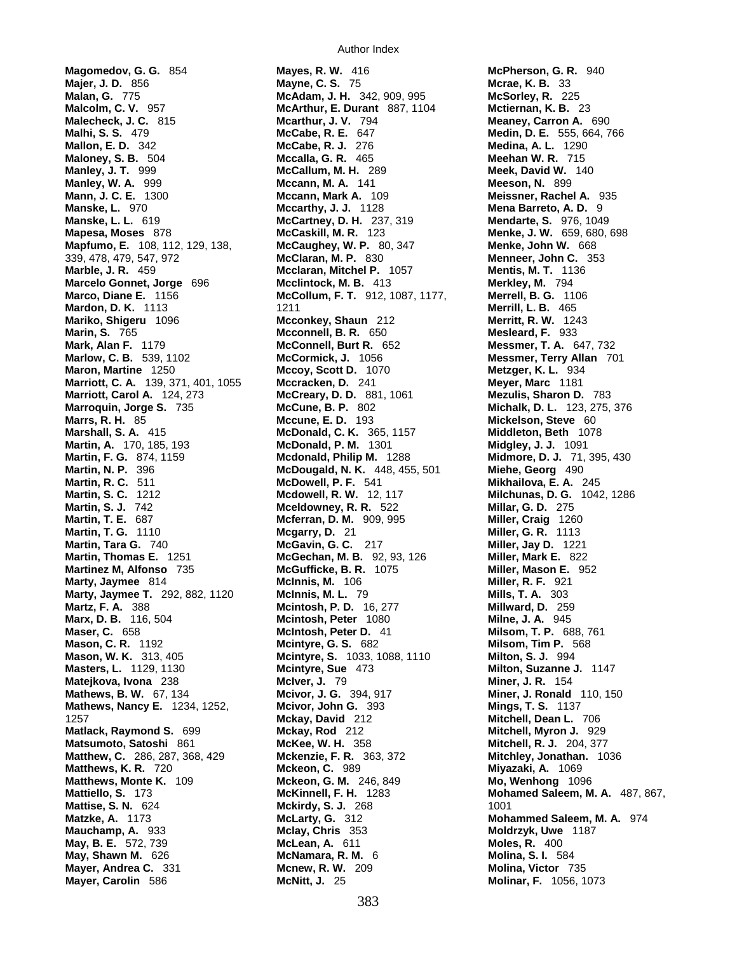**Magomedov, G. G.** 854 **Mayes, R. W.** 416 **McPherson, G. R.** 940 **Majer, J. D.** 856 **Mayne, C. S.** 75 **Malan, G. 775 Magnetic B. B.** 33 **Malcolm, C. V.** 957 **McArthur, E. Durant** 887, 1104 **Mctiernan, K. B.** 23 **Malecheck, J. C.** 815 **Mcarthur, J. V.** 794 **Meaney, Carron A.** 690 **Mallon, E. D.** 342 **McCabe, R. J.** 276 **Medina, A. L.** 1290 **Maloney, S. B.** 504 **Mccalla, G. R.** 465 **Meehan W. R.** 715 **Manley, J. T.** 999 **McCallum, M. H.** 289 **Meek, David W.** 140 **Mann, J. C. E.** 1300 **Mccann, Mark A.** 109 **Meissner, Rachel A.** 935 **Manske, L.** 970 **Mccarthy, J. J.** 1128 **Mena Barreto, A. D.** 9 **Manske, L. L.** 619 **McCartney, D. H.** 237, 319 **Mendarte, S.** 976, 1049 **Mapfumo, E.** 108, 112, 129, 138, **McCaughey, W. P.** 80, 347 **Menke, John W.** 668 339, 478, 479, 547, 972 **McClaran, M. P.** 830 **Menneer, John C.** 353 **Marble, J. R.** 459 **Mcclaran, Mitchel P.** 1057 **Mentis, M. T.** 1136 **Marcelo Gonnet, Jorge** 696 **Mcclintock, M. B.** 413 **Merkley, M.** 794 **Marco, Diane E.** 1156 **McCollum, F. T.** 912, 1087, 1177, **Merrell, B. G.** 1106 **Mardon, D. K.** 1113 1211 1211 1211 **Merrill, L. B.** 465 **Mariko, Shigeru** 1096 **Mcconkey, Shaun** 212 **Merritt, R. W.** 1243 **Marin, S.** 765 **Mcconnell, B. R.** 650 **Mesleard, F.** 933 **Mark, Alan F.** 1179 **McConnell, Burt R.** 652 **Messmer, T. A.** 647, 732 **Marlow, C. B.** 539, 1102 **McCormick, J.** 1056 **Messmer, Terry Allan** 701 **Maron, Martine** 1250 **Mccoy, Scott D.** 1070 **Metzger, K. L.** 934 **Marriott, C. A.** 139, 371, 401, 1055 **Mccracken, D.** 241 **Meyer, Marc** 1181 **Marriott, Carol A.** 124, 273 **McCreary, D. D.** 881, 1061 **Mezulis, Sharon D.** 783 **Marrs, R. H.** 85 **Mccune, E. D.** 193 **Mickelson, Steve** 60 **Marshall, S. A.** 415 **McDonald, C. K.** 365, 1157 **Martin, A.** 170, 185, 193 **McDonald, P. M.** 1301 **Midgley, J. J.** 1091 **Martin, F. G.** 874, 1159 **Mcdonald, Philip M.** 1288 **Midmore, D. J.** 71, 395, 430 **Martin, N. P.** 396 **McDougald, N. K.** 448, 455, 501 **Miehe, Georg** 490 **Martin, R. C.** 511 **McDowell, P. F.** 541 **Mikhailova, E. A.** 245 **Martin, S. C.** 1212 **Mcdowell, R. W.** 12, 117 **Milchunas, D. G.** 1042, 1286 **Martin, S. J.** 742 **Mceldowney, R. R.** 522 **Millar, G. D.** 275 **Martin, T. G.** 1110 **Mcgarry, D.** 21 **Miller, G. R.** 1113 **Martin, Tara G.** 740 **McGavin, G. C.** 217 **Miller, Jay D.** 1221 **Martin, Thomas E.** 1251 **McGechan, M. B.** 92, 93, 126 **Miller, Mark E.** 822 **Martinez M, Alfonso** 735 **McGufficke, B. R.** 1075 **Miller, Mason E.** 952 **Marty, Jaymee** 814 **McInnis, M.** 106 **Miller, R. F.** 921 **Marty, Jaymee T.** 292, 882, 1120 **McInnis, M. L.** 79 **Mills, T. A.** 303 **Martz, F. A.** 388 **Mcintosh, P. D.** 16, 277 **Millward, D.** 259 **Marx, D. B.** 116, 504 **Mcintosh, Peter** 1080 **Milne, J. A.** 945 **Maser, C.** 658 **McIntosh, Peter D.** 41 **Milsom, T. P.** 688, 761 **Mason, C. R.** 1192 **Mcintyre, G. S.** 682 **Milsom, Tim P.** 568 **Mason, W. K.** 313, 405 **Mcintyre, S.** 1033, 1088, 1110 **Milton, S. J.** 994 **Masters, L.** 1129, 1130 **Mcintyre, Sue** 473 **Milton, Suzanne J.** 1147 **Matejkova, Ivona** 238 **McIver, J.** 79 **Miner, J. R.** 154 **Mathews, B. W.** 67, 134 **Mcivor, J. G.** 394, 917 **Miner, J. Ronald** 110, 150 **Mathews, Nancy E.** 1234, 1252, **Minimum Minimum G. 393** 1257 **Mckay, David** 212 **Mitchell, Dean L.** 706 **Matlack, Raymond S.** 699 **Mckay, Rod** 212 **Mitchell, Myron J.** 929 **Matsumoto, Satoshi** 861 **McKee, W. H.** 358 **Mitchell, R. J.** 204, 377 **Matthew, C.** 286, 287, 368, 429 **Mckenzie, F. R.** 363, 372 **Mitchley, Jonathan.** 1036 **Matthews, K. R.** 720 **Mckeon, C.** 989 **Miyazaki, A.** 1069 **Matthews, Monte K.** 109 **Mckeon, G. M.** 246, 849 **Mo, Wenhong** 1096 **Mattiello, S.** 173 **McKinnell, F. H.** 1283 **Mohamed Saleem, M. A.** 487, 867, **Mattise, S. N.** 624 **Mckirdy, S. J.** 268 1001 **Matzke, A.** 1173 **McLarty, G.** 312 **Mohammed Saleem, M. A.** 974 **Mauchamp, A.** 933 **Mclay, Chris** 353 **Moldrzyk, Uwe** 1187 **May, B. E.** 572, 739 **McLean, A.** 611 **Moles, R.** 400 **May, Shawn M.** 626 **McNamara, R. M.** 6 **Molina, S. I.** 584 **Mayer, Andrea C.** 331 **Mcnew, R. W.** 209 **Molina, Victor** 735 **Mayer, Carolin** 586 **McNitt, J.** 25 **Molinar, F.** 1056, 1073

**McAdam, J. H.** 342, 909, 995 **McSorley, R.McCabe, R. E.** 647 **Medin, D. E.** 555, 664, 766 **Mccann, M. A.** 141 **Meeson, N.Mapesa, Moses** 878 **McCaskill, M. R.** 123 **Menke, J. W.** 659, 680, 698 **McCune, B. P.** 802 **Michalk, D. L.** 123, 275, 376<br>**McCune, E. D.** 193 **Mickelson, SteveMcferran, D. M.** 909, 995 **Miller, Craig**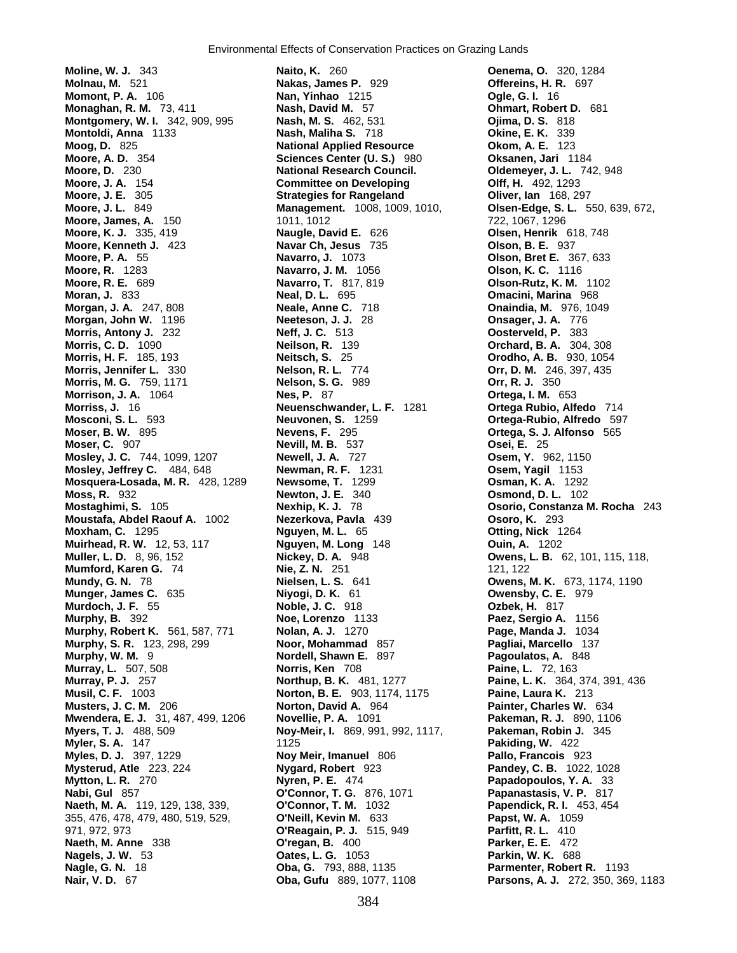**Moline, W. J.** 343 **Naito, K.** 260 **Oenema, O.** 320, 1284 **Molnau, M.** 521 **Nakas, James P.** 929 **Offereins, H. R.** 697 **Momont, P. A.** 106 **Nan, Yinhao** 1215 **Monaghan, R. M.** 73, 411 **Nash, David M.** 57 **Ohmart, Robert D.** 681 **Montgomery, W. I.** 342, 909, 995 **Nash, M. S.** 462, 531 **Ojima, D. S.** 818 **Montoldi, Anna** 1133 **Nash, Maliha S.** 718 **Okine, E. K.** 339 **Montoldi, Anna** 1133 **Nash, Maliha S.** 718 **Moog, D.** 825 **National Applied Resource Okom, A. E.** 123 **Moore, A. D.** 354 **Sciences Center (U. S.)** 980 **Oksanen, Jari** 1184 **Moore, D.** 230 **National Research Council. Oldemeyer, J. L.** 742, 948 **Moore, J. A.** 154 **Committee on Developing Olff, H.** 492, 1293 **Moore, J. L.** 849 **Management.** 1008, 1009, 1010, **Olsen-Edge, S. L.** 550, 639, 672, **Moore, James, A.** 150 **1011, 1012** 1001, 1012 722, 1067, 1296 **Moore, K. J.** 335, 419 **Naugle, David E.** 626 **Olsen, Henrik** 618, 748 **Moore, Kenneth J.** 423 **Navar Ch, Jesus** 735 **Olson, B. E.** 937 **Moore, P. A.** 55 **Navarro, J.** 1073 **Olson, Bret E.** 367, 633 **Moore, R. E.** 689 **Navarro, T.** 817, 819 **Olson-Rutz, K. M.** 1102 **Moran, J.** 833 **Neal, D. L.** 695 **Omacini, Marina** 968 **Morgan, J. A.** 247, 808 **Neale, Anne C.** 718 **Onaindia, M.** 976, 1049 **Morgan, John W.** 1196 **Neeteson, J. J.** 28 **Onsager, J. A.** 776 **Morris, Antony J.** 232 **Neff, J. C.** 513 **Oosterveld, P.** 383 **Morris, C. D.** 1090 **Neilson, R.** 139 **Orchard, B. A.** 304, 308 **Morris, H. F.** 185, 193 **Neitsch, S.** 25 **Orodho, A. B.** 930, 1054 **Morris, Jennifer L.** 330 **Nelson, R. L.** 774 **Orr, D. M.** 246, 397, 435 **Morris, M. G.** 759, 1171 **Nelson, S. G.** 989 **Orr, R. J.** 350 **Morrison, J. A.** 1064 **Nes, P.** 87<br>**Morriss, J.** 16 **Neuenschw Mosconi, S. L.** 593 **Neuvonen, S.** 1259 **Ortega-Rubio, Alfredo** 597 **Moser, B. W.** 895 **Nevens, F.** 295 **Ortega, S. J. Alfonso** 565 **Mosley, J. C.** 744, 1099, 1207 **Newell, J. A.** 727 **Osem, Y.** 962, 1150 **Mosley, Jeffrey C.** 484, 648 **Newman, R. F.** 1231 **Osem, Yagil** 1153 **Mosquera-Losada, M. R.** 428, 1289 **Newsome, T.** 1299 **Osman, K. A.** 1292 **Moss, R.** 932 **Newton, J. E.** 340 **Osmond, D. L.** 102 **Mostaghimi, S.** 105 **Nexhip, K. J.** 78 **Osorio, Constanza M. Rocha** 243 **Moustafa, Abdel Raouf A.** 1002 **Nezerkova, Pavla** 439 **Osoro, K.** 293 **Moxham, C.** 1295 **Nguyen, M. L.** 65 **Otting, Nick** 1264 **Muirhead, R. W.** 12, 53, 117 **Nguyen, M. Long** 148 **Ouin, A.** 1202 **Muller, L. D.** 8, 96, 152 **Nickey, D. A.** 948 **Owens, L. B.** 62, 101, 115, 118, **Mumford, Karen G.** 74 **Nie, Z. N.** 251 **121, 122 Mundy, G. N.** 78 **Nielsen, L. S.** 641 **Owens, M. K.** 673, 1174, 1190 **Munger, James C.** 635 **Niyogi, D. K.** 61 **Owensby, C. E.** 979 **Murdoch, J. F.** 55 **Noble, J. C.** 918 **Ozbek, H.** 817 **Murphy, B.** 392 **Noe, Lorenzo** 1133 **Paez, Sergio A.** 1156 **Murphy, Robert K.** 561, 587, 771 **Nolan, A. J.** 1270 **Page, Manda J.** 1034 **Murphy, S. R.** 123, 298, 299 **Noor, Mohammad** 857 **Pagliai, Marcello** 137 **Murphy, W. M.** 9 **Nordell, Shawn E.** 897 **Pagoulatos, A.** 848 **Murray, L.** 507, 508 **Norris, Ken** 708 **Paine, L.** 72, 163 **Murray, P. J.** 257 **Northup, B. K.** 481, 1277 **Paine, L. K.** 364, 374, 391, 436 **Musters, J. C. M.** 206 **Norton, David A.** 964 **Painter, Charles W.** 634 **Mwendera, E. J.** 31, 487, 499, 1206 **Novellie, P. A.** 1091 **Pakeman, R. J.** 890, 1106 **Myers, T. J.** 488, 509 **Noy-Meir, I.** 869, 991, 992, 1117, **Pakeman, Robin J.** 345 **Myler, S. A.** 147 1125 **Pakiding, W.** 422 **Mysterud, Atle** 223, 224 **Nygard, Robert** 923 **Pandey, C. B.** 1022, 1028 **Mytton, L. R.** 270 **Nyren, P. E.** 474 **Papadopoulos, Y. A.** 33 **Nabi, Gul** 857 **O'Connor, T. G.** 876, 1071 **Papanastasis, V. P.** 817 **Naeth, M. A.** 119, 129, 138, 339, **O'Connor, T. M.** 1032 **Papendick, R. I.** 453, 454 355, 476, 478, 479, 480, 519, 529, **O'Neill, Kevin M.** 633 **Papst, W. A.** 1059 971, 972, 973 **O'Reagain, P. J.** 515, 949 **Naeth, M. Anne** 338 **O'regan, B.** 400 **Parker, E. E.** 472 **Nagels, J. W.** 53 **Oates, L. G.** 1053 **Parkin, W. K.** 688 **Nagle, G. N.** 18 **Oba, G.** 793, 888, 1135 **Parmenter, Robert R.** 1193

**Strategies for Rangeland Cliver, Ian** 168, 297 **Navarro, J. M.** 1056 **Olson, K. C.** 1116 **Morriss, J.** 16 **Neuenschwander, L. F.** 1281 **Ortega Rubio, Alfedo** 714 **Moser, C.** 907 **Nevill, M. B.** 537 **Osei, E.** 25 **Norton, B. E.** 903, 1174, 1175 **Noy Meir, Imanuel 806 <b>Pallo, Francois** 923

**Nair, V. D.** 67 **Oba, Gufu** 889, 1077, 1108 **Parsons, A. J.** 272, 350, 369, 1183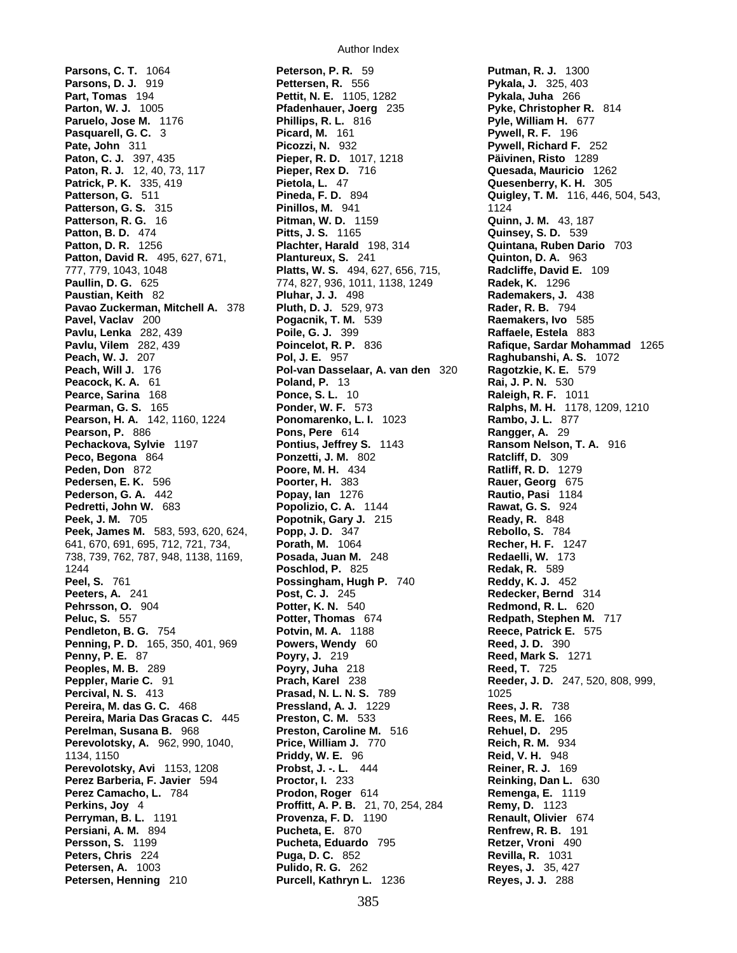**Parsons, C. T.** 1064 **Peterson, P. R.** 59 **Putman, R. J.** 1300 **Parsons, D. J.** 919 **Pettersen, R.** 556 **Pykala, J. 325, 403**<br>**Part, Tomas 194 Pettit, N. E.** 1105, 1282 **Pykala, Juha** 266 **Parton, W. J.** 1005 **Pfadenhauer, Joerg** 235 **Pyke, Christopher R.** 814 **Paruelo, Jose M.** 1176 **Phillips, R. L.** 816 **Pyle, William H.** 677 **Pasquarell, G. C.** 3 **Picard, M.** 161 **Pate, John** 311 **Picozzi, N.** 932 **Pywell, Richard F.** 252 **Paton, C. J.** 397, 435 **Pieper, R. D.** 1017, 1218 **Päivinen, Risto** 1289 **Paton, R. J.** 12, 40, 73, 117 **Pieper, Rex D.** 716 **Quesada, Mauricio** 1262 **Patrick, P. K.** 335, 419 **Pietola, L.** 47 **Quesenberry, K. H.** 305 **Patterson, G.** 511 **Pineda, F. D.** 894 **Quigley, T. M.** 116, 446, 504, 543, **Patterson, G. S.** 315 **Pinillos, M.** 941 **1124 Patterson, R. G.** 16 **Pitman, W. D.** 1159 **Quinn, J. M.** 43, 187 **Patton, B. D.** 474 **Pitts, J. S.** 1165 **Quinsey, S. D.** 539 **Patton, D. R.** 1256 **Plachter, Harald** 198, 314 **Quintana, Ruben Dario** 703 **Patton, David R.** 495, 627, 671, **Plantureux, S.** 241 **Quinton, D. A.** 963 777, 779, 1043, 1048 **Platts, W. S.** 494, 627, 656, 715, **Radcliffe, David E.** 109 **Paullin, D. G.** 625 774, 827, 936, 1011, 1138, 1249 **Radek, K.** 1296 **Paustian, Keith** 82 **Pluhar, J. J.** 498 **Rademakers, J.** 438 **Pavao Zuckerman, Mitchell A.** 378 **Pluth, D. J.** 529, 973 **Rader, R. B.** 794 **Pavel, Vaclav** 200 **Pogacnik, T. M.** 539 **Raemakers, Ivo** 585 **Pavlu, Lenka** 282, 439 **Poile, G. J.** 399 **Raffaele, Estela** 883 **Pavlu, Vilem** 282, 439 **Poincelot, R. P.** 836 **Rafique, Sardar Mohammad** 1265 **Peach, W. J.** 207 **Pol, J. E.** 957 **Raghubanshi, A. S.** 1072 **Peacock, K. A.** 61 **Poland, P.** 13 **Rai, J. P. N.** 530 **Pearce, Sarina** 168 **Ponce, S. L.** 10 **Raileigh, R. F.** 10 **Pearce, Sarina** 168 **Ponce, S. L.** 10 **Raleigh, R. F.** 1011<br>**Pearman, G. S.** 165 **Ponder, W. F.** 573 **Ralphs, M. H.** 1178 **Pearson, H. A.** 142, 1160, 1224 **Ponomarenko, L. I.** 1023 **Rambo, J. L.** 877 **Pearson, P.** 886 **Pons, Pere** 614 **Rangger, A.** 29 **Pechackova, Sylvie** 1197 **Pontius, Jeffrey S.** 1143 **Ransom Nelson, T. A.** 916 **Peco, Begona** 864 **Ponzetti, J. M.** 802 **Ratcliff, D.** 309 **Peden, Don** 872 **Poore, M. H.** 434 **Ratliff, R. D.** 1279 **Pedersen, E. K.** 596 **Poorter, H.** 383 **Rauer, Georg** 675 **Pederson, G. A.** 442 **Popay, Ian** 1276 **Rautio, Pasi** 1184 **Pedretti, John W.** 683 **Popolizio, C. A.** 1144 **Rawat, G. S.** 924 **Peek, J. M.** 705 **Popotnik, Gary J.** 215 **Ready, R.** 848 **Peek, James M.** 583, 593, 620, 624, **Popp, J. D.** 347 641, 670, 691, 695, 712, 721, 734, **Porath, M.** 1064 **Recher, H. F.** 1247 738, 739, 762, 787, 948, 1138, 1169, **Posada, Juan M.** 248 **Redaelli, W.** 173 1244 **Poschlod, P.** 825 **Redak, R.** 589 **Peel, S.** 761 **Possingham, Hugh P.** 740 **Reddy, K. J.** 452 **Peeters, A.** 241 **Post, C. J.** 245 **Redecker, Bernd** 314 **Pehrsson, O.** 904 **Potter, K. N.** 540 **Redmond, R. L.** 620 **Peluc, S.** 557 **Potter, Thomas** 674 **Redpath, Stephen M.** 717 **Pendleton, B. G.** 754 **Potvin, M. A.** 1188 **Reece, Patrick E.** 575 **Penning, P. D.** 165, 350, 401, 969 **Powers, Wendy** 60 **Reed, J. D.** 390 **Penny, P. E.** 87 **Poyry, J.** 219 **Reed, Mark S.** 1271 **Peoples, M. B.** 289 **Poyry, Juha** 218 **Reed, T.** 725 **Peppler, Marie C.** 91 **Prach, Karel** 238 **Reeder, J. D.** 247, 520, 808, 999, **Percival, N. S.** 413 **Prasad, N. L. N. S.** 789 1025 **Pereira, M. das G. C.** 468 **Pressland, A. J.** 1229 **Rees, J. R.** 738 **Pereira, Maria Das Gracas C.** 445 **Preston, C. M.** 533 **Rees, M. E.** 166 **Perelman, Susana B.** 968 **Preston, Caroline M.** 516 **Rehuel, D.** 295 **Perevolotsky, A.** 962, 990, 1040, **Price, William J.** 770 **Reich, R. M.** 934 1134, 1150 **Priddy, W. E.** 96 **Reid, V. H.** 948 **Perevolotsky, Avi** 1153, 1208 **Probst, J. -. L.** 444 **Reiner, R. J.** 169 **Perez Barberia, F. Javier** 594 **Proctor, I.** 233 **Reinking, Dan L.** 630 **Perez Camacho, L.** 784 **Prodon, Roger** 614 **Remenga, E.** 1119 **Perkins, Joy** 4 **Proffitt, A. P. B.** 21, 70, 254, 284 **Remy, D.** 1123 **Perryman, B. L.** 1191 **Provenza, F. D.** 1190 **Renault, Olivier** 674 **Persiani, A. M.** 894 **Pucheta, E.** 870 **Persson, S.** 1199 **Pucheta, Eduardo** 795 **Retzer, Vroni** 490 **Peters, Chris** 224 **Puga, D. C.** 852 **Revilla, R.** 1031 **Petersen, A.** 1003 **Pulido, R. G.** 262 **Reyes, J.** 35, 427 **Petersen, Henning** 210 **Purcell, Kathryn L.** 1236 **Reyes, J. J.** 288

**Pettit, N. E.** 1105, 1282 **Pol-van Dasselaar, A. van den** 320 **Ragotzkie, K. E.** 579

**Ralphs, M. H.** 1178, 1209, 1210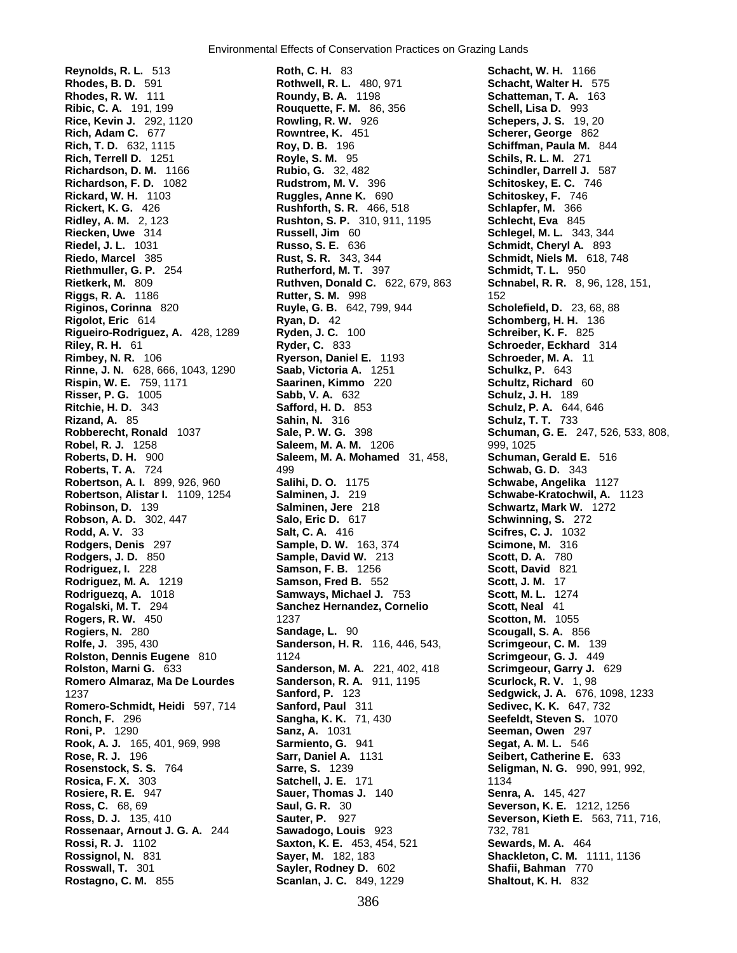**Ribic, C. A.** 191, 199 **Rouquette, F. M.** 86, 356 **Rickert, K. G.** 426 **Rushforth, S. R.** 466, 518 **Rinne, J. N.** 628, 666, 1043, 1290 **Saab, Victoria A.** 1251 **Risser, P. G.** 1005 **Sabb, V. A.** 632 **Rodgers, Denis** 297 **Sample, D. W.** 163, 374 **Romero Almaraz, Ma De Lourdes Sanderson, R. A.**<br>1237 **Sanford, P.** 123

**Reynolds, R. L.** 513 **Roth, C. H.** 83 **Schacht, W. H.** 1166 **Rhodes, B. D.** 591 **Rothwell, R. L.** 480, 971 **Schacht, Walter H.** 575 **Rhodes, R. W.** 111 **Roundy, B. A.** 1198 **Schatteman, T. A.** 163 **Rice, Kevin J.** 292, 1120 **Rowling, R. W.** 926 **Schepers, J. S.** 19, 20 **Rich, Adam C.** 677 **Rowntree, K.** 451 **Scherer, George** 862 **Rich, T. D.** 632, 1115 **Roy, D. B.** 196 **Schiffman, Paula M.** 844 **Rich, Terrell D.** 1251 **Royle, S. M.** 95 **Schils, R. L. M.** 271 **Richardson, D. M.** 1166 **Rubio, G.** 32, 482 **Schindler, Darrell J.** 587 **Rudstrom, M. V.** 396 **Schitoskey, E. C.** 746 **Rickard, W. H.** 1103 **Ruggles, Anne K.** 690 **Schitoskey, F.** 746 **Ridley, A. M.** 2, 123 **Rushton, S. P.** 310, 911, 1195 **Schlecht, Eva** 845 **Riecken, Uwe** 314 **Russell, Jim** 60 **Schlegel, M. L.** 343, 344 **Riedel, J. L.** 1031 **Russo, S. E.** 636 **Schmidt, Cheryl A.** 893 **Riedo, Marcel** 385 **Rust, S. R.** 343, 344 **Schmidt, Niels M.** 618, 748 **Riethmuller, G. P.** 254 **Rutherford, M. T.** 397 **Schmidt, T. L.** 950 **Rietkerk, M.** 809 **Ruthven, Donald C.** 622, 679, 863 **Schnabel, R. R.** 8, 96, 128, 151, **Riggs, R. A.** 1186 **Rutter, S. M.** 998 152 **Riginos, Corinna** 820 **Ruyle, G. B.** 642, 799, 944 **Scholefield, D.** 23, 68, 88 **Rigolot, Eric** 614 **Ryan, D.** 42 **Schomberg, H. H.** 136 **Rigueiro-Rodriguez, A.** 428, 1289 **Ryden, J. C.** 100 **Schreiber, K. F.** 825 **Riley, R. H.** 61 **Ryder, C.** 833 **Schroeder, Eckhard** 314 **Rimbey, N. R.** 106 **Ryerson, Daniel E. 1193 Schroeder, M. A.** 106 **Rime, J. N. Ganiel C. 1193 Schulkz, P.** 643 **Rispin, W. E.** 759, 1171 **Saarinen, Kimmo** 220 **Schultz, Richard** 60 **Ritchie, H. D.** 343 **Safford, H. D.** 853 **Schulz, P. A.** 644, 646 **Rizand, A.** 85 **Sahin, N.** 316 **Schulz, T. T.** 733 **Robel, R. J.** 1258 **Saleem, M. A. M.** 1206 999, 1025 **Roberts, D. H.** 900 **Saleem, M. A. Mohamed** 31, 458, **Schuman, Gerald E.** 516 **Roberts, T. A.** 724 499 **Schwab, G. D.** 343 **Robertson, A. I.** 899, 926, 960 **Salihi, D. O.** 1175 **Schwabe, Angelika** 1127 **Robertson, Alistar I.** 1109, 1254 **Salminen, J.** 219 **Schwabe-Kratochwil, A.** 1123 **Robinson, D.** 139 **Salminen, Jere** 218 **Schwartz, Mark W.** 1272 **Robson, A. D.** 302, 447 **Salo, Eric D.** 617 **Schwinning, S.** 272 **Rodd, A. V.** 33 **Salt, C. A.** 416 **Scifres, C. J.** 1032 **Rodgers, J. D.** 850 **Sample, David W.** 213 **Scott, D. A.** 780 **Rodriguez, I.** 228 **Samson, F. B.** 1256 **Scott, David** 821 **Rodriguez, M. A.** 1219 **Samson, Fred B.** 552 **Scott, J. M.** 17 **Samways, Michael J. 753 Rogalski, M. T.** 294 **Sanchez Hernandez, Cornelio Scott, Neal** 41 **Rogers, R. W.** 450 1237 **Scotton, M.** 1055 **Rogiers, N.** 280 **Sandage, L.** 90 **Scougall, S. A.** 856 **Rolfe, J.** 395, 430 **Sanderson, H. R.** 116, 446, 543, **Scrimgeour, C. M.** 139 **Rolston, Dennis Eugene** 810 1124 **Scrimgeour, G. J.** 449 **Rolston, Marni G.** 633 **Sanderson, M. A.** 221, 402, 418 **Scrimgeour, Garry J.** 629 1237 **Sanford, P.** 123 **Sedgwick, J. A.** 676, 1098, 1233 **Romero-Schmidt, Heidi** 597, 714 **Sanford, Paul** 311 **Sedivec, K. K.** 647, 732 **Ronch, F.** 296 **Sangha, K. K.** 71, 430 **Seefeldt, Steven S.** 1070 **Roni, P.** 1290 **Sanz, A.** 1031 **Seeman, Owen** 297 **Rook, A. J.** 165, 401, 969, 998 **Sarmiento, G.** 941 **Segat, A. M. L.** 546 **Rose, R. J.** 196 **Sarr, Daniel A.** 1131 **Seibert, Catherine E.** 633 **Rosenstock, S. S.** 764 **Sarre, S.** 1239 **Seligman, N. G.** 990, 991, 992, **Rosica, F. X.** 303 **Satchell, J. E.** 171 **1134**<br>**Rosiere, R. E.** 947 **Sauer, Thomas J.** 140 **Senra Rosiere, R. E.** 947 **Sauer, Thomas J.** 140 **Senra, A.** 145, 427 **Ross, C.** 68, 69 **Saul, G. R.** 30 **Severson, K. E.** 1212, 1256 **Ross, D. J.** 135, 410 **Sauter, P.** 927 **Severson, Kieth E.** 563, 711, 716, **Rossenaar, Arnout J. G. A.** 244 **Sawadogo, Louis** 923 732, 781 **Rossi, R. J.** 1102 **Saxton, K. E.** 453, 454, 521 **Sewards, M. A.** 464 **Rossignol, N.** 831 **Sayer, M.** 182, 183 **Shackleton, C. M.** 1111, 1136 **Rosswall, T.** 301 **Sayler, Rodney D.** 602 **Shafii, Bahman** 770 **Rostagno, C. M.** 855 **Scanlan, J. C.** 849, 1229 **Shaltout, K. H.** 832

**Robberecht, Ronald** 1037 **Sale, P. W. G.** 398 **Schuman, G. E.** 247, 526, 533, 808,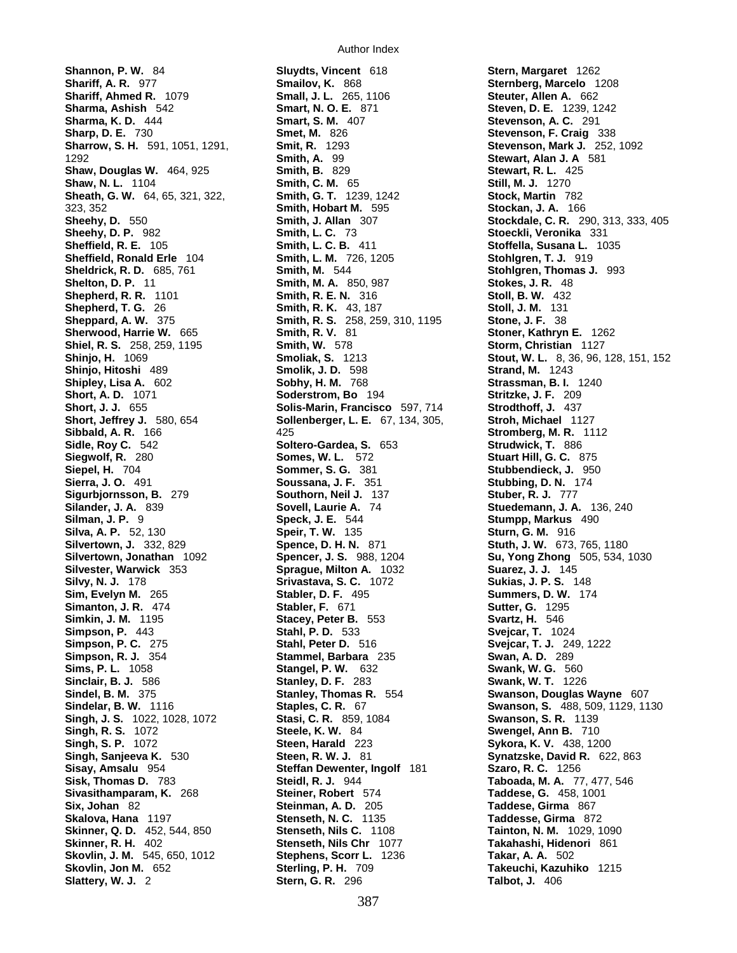**Sharrow, S. H.** 591, 1051, 1291, **Sidle, Roy C.** 542 **Soltero-Gardea, S.** 653 **Singh, J. S.** 1022, 1028, 1072 **Skovlin, J. M.** 545, 650, 1012 **Stephens, Scorr L.** 1236

**Shannon, P. W.** 84 **Sluydts, Vincent** 618 **Stern, Margaret** 1262 **Shariff, Ahmed R.** 1079 **Small, J. L.** 265, 1106 **Steuter, Allen A.** 662 **Sharma, Ashish** 542 **Smart, N. O. E.** 871 **Steven, D. E.** 1239, 1242 **Sharma, K. D.** 444 **Smart, S. M.** 407 **Stevenson, A. C.** 291 **Sharp, D. E.** 730 **Smet, M.** 826 **Stevenson, F. Craig** 338 1292 **Smith, A.** 99 **Stewart, Alan J. A** 581 **Shaw, Douglas W.** 464, 925 **Smith, B.** 829 **Stewart, R. L.** 425 **Shaw, N. L.** 1104 **Smith, C. M.** 65 **Still, M. J.** 1270 **Sheath, G. W.** 64, 65, 321, 322, **Smith, G. T.** 1239, 1242 **Stock, Martin** 782 323, 352 **Smith, Hobart M.** 595 **Stockan, J. A.** 166 **Sheehy, D. P.** 982 **Smith, L. C.** 73 **Stoeckli, Veronika** 331 **Sheffield, R. E.** 105 **Smith, L. C. B.** 411 **Stoffella, Susana L.** 1035 **Sheffield, Ronald Erle** 104 **Smith, L. M.** 726, 1205 **Stohlgren, T. J.** 919 **Sheldrick, R. D.** 685, 761 **Smith, M.** 544 **Stohlgren, Thomas J.** 993 **Shelton, D. P.** 11 **Smith, M. A.** 850, 987 **Stokes, J. R.** 48 **Shepherd, R. R.** 1101 **Smith, R. E. N.** 316 **Stoll, B. W.** 432 **Shepherd, T. G.** 26 **Smith, R. K.** 43, 187 **Stoll, J. M.** 131 **Sheppard, A. W.** 375 **Smith, R. S.** 258, 259, 310, 1195 **Stone, J. F.** 38 **Sherwood, Harrie W.** 665 **Smith, R. V.** 81 **Stoner, Kathryn E.** 1262 **Shiel, R. S.** 258, 259, 1195 **Smith, W.** 578 **Storm, Christian** 1127 **Shinjo, Hitoshi** 489 **Smolik, J. D.** 598 **Strand, M.** 1243 **Shipley, Lisa A.** 602 **Sobhy, H. M.** 768 **Strassman, B. I.** 1240 **Soderstrom, Bo** 194 **Stritzke, J. F.** 209<br>**Solis-Marin. Francisco** 597, 714 **Strodthoff, J.** 437 **Short, J. J.** 655 **Solis-Marin, Francisco** 597, 714<br> **Solienberger, L. E.** 67, 134, 305, **Solienberger, L. E.** 67, 134, 305, **Short, Jeffrey J.** 580, 654 **Sollenberger, L. E.** 67, 134, 305, **Stroh, Michael** 1127 **Sibbald, A. R.** 166 **125** 425 **Stromberg, M. R. 1112**<br> **Sidle. Rov C.** 542 **Soltero-Gardea, S.** 653 **Strudwick, T.** 886 **Siegwolf, R.** 280 **Somes, W. L.** 572 **Stuart Hill, G. C.** 875 **Siepel, H.** 704 **Sommer, S. G.** 381 **Stubbendieck, J.** 950 **Sierra, J. O.** 491 **Soussana, J. F.** 351 **Stubbing, D. N.** 174 **Sigurbjornsson, B.** 279 **Southorn, Neil J.** 137 **Stuber, R. J.** 777 **Silander, J. A.** 839 **Sovell, Laurie A.** 74 **Stuedemann, J. A.** 136, 240 **Silman, J. P.** 9 **Speck, J. E.** 544 **Stumpp, Markus** 490 **Silva, A. P.** 52, 130 **Speir, T. W.** 135 **Sturn, G. M.** 916 **Silvertown, J.** 332, 829 **Spence, D. H. N.** 871 **Stuth, J. W.** 673, 765, 1180 **Silvertown, Jonathan** 1092 **Spencer, J. S.** 988, 1204 **Su, Yong Zhong** 505, 534, 1030 **Silvester, Warwick** 353 **Sprague, Milton A.** 1032 **Suarez, J. J.** 145 **Silvy, N. J.** 178 **Srivastava, S. C.** 1072 **Sukias, J. P. S.** 148 **Sim, Evelyn M.** 265 **Stabler, D. F.** 495 **Summers, D. W.** 174 **Simanton, J. R.** 474 **Stabler, F.** 671 **Sutter, G.** 1295 **Simkin, J. M.** 1195 **Stacey, Peter B.** 553 **Svartz, H.** 546 **Simpson, P.** 443 **Stahl, P. D.** 533 **Svejcar, T.** 1024 **Simpson, P. C.** 275 **Stahl, Peter D.** 516 **Svejcar, T. J.** 249, 1222 **Simpson, R. J.** 354 **Stammel, Barbara** 235 **Swan, A. D.** 289 **Sims, P. L.** 1058 **Stangel, P. W.** 632 **Swank, W. G.** 560 **Sinclair, B. J.** 586 **Stanley, D. F.** 283 **Swank, W. T.** 1226 **Stanley, Thomas R. 554 <b>Swanson, Douglas Wayne** 607 **Singh, R. S.** 1072 **Steele, K. W.** 84 **Swengel, Ann B.** 710 **Singh, S. P.** 1072 **Steen, Harald** 223 **Sykora, K. V.** 438, 1200 **Singh, Sanjeeva K.** 530 **Steen, R. W. J.** 81 **Synatzske, David R.** 622, 863 **Steffan Dewenter, Ingolf** 181 **Szaro, R. C.** 1256 **Sisk, Thomas D.** 783 **Steidl, R. J.** 944 **Taboada, M. A.** 77, 477, 546 **Sivasithamparam, K.** 268 **Steiner, Robert** 574 **Taddese, G.** 458, 1001 **Six, Johan** 82 **Steinman, A. D.** 205 **Taddese, Girma** 867 **Skalova, Hana** 1197 **Stenseth, N. C.** 1135 **Taddesse, Girma** 872 **Skinner, Q. D.** 452, 544, 850 **Stenseth, Nils C.** 1108 **Tainton, N. M.** 1029, 1090 **Stenseth, Nils Chr** 1077 **Takahashi, Hidenori** 861<br>**Stephens, Scorr L.** 1236 **Takar, A. A. 5**02 **Skovlin, Jon M.** 652 **Sterling, P. H.** 709 **Takeuchi, Kazuhiko** 1215 **Slattery, W. J.** 2 **Stern, G. R.** 296 **Talbot, J.** 406

**Sternberg, Marcelo** 1208 **Sheehy, D.** 550 **Smith, J. Allan** 307 **Stockdale, C. R.** 290, 313, 333, 405 **Shinjo, H.** 1069 **Smoliak, S.** 1213 **Stout, W. L.** 8, 36, 96, 128, 151, 152 **Sindelar, B. W.** 1116 **Staples, C. R.** 67 **Swanson, S.** 488, 509, 1129, 1130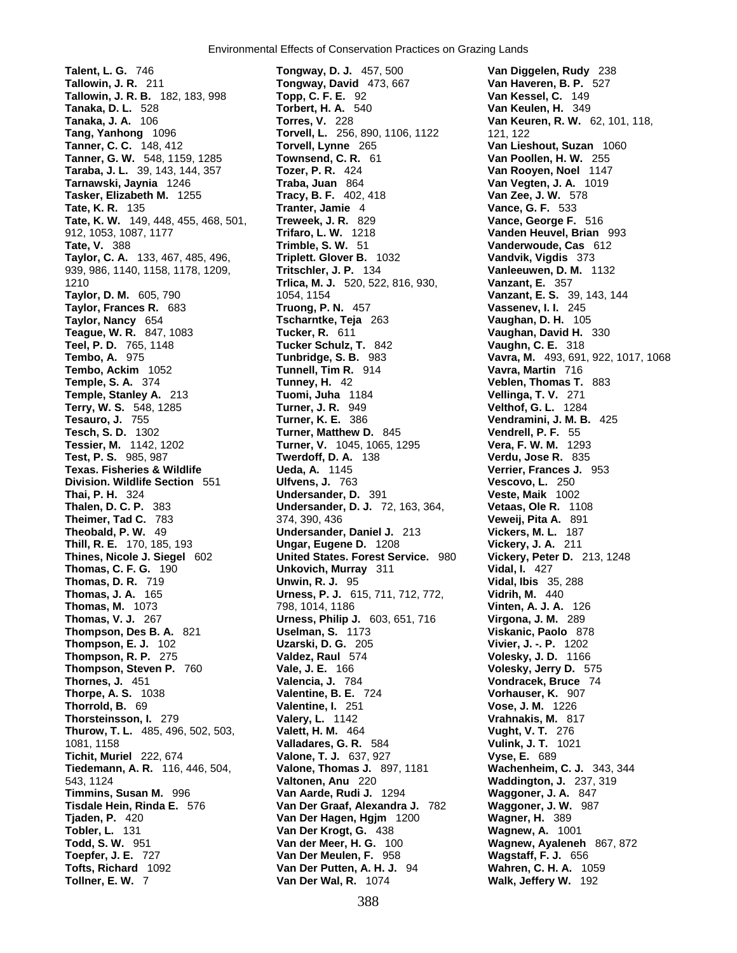**Tallowin, J. R. B.** 182, 183, 998 939, 986, 1140, 1158, 1178, 1209, **Tritschler, J. P.Terry, W. S.** 548, 1285 **Turner, J. R.** 949<br>**Tesauro, J. 755 Turner, K. E.Thorsteinsson, I.** 279 **Valery, L.Toepfer, J. E.** 727 **Van Der Meulen, F.**

**Talent, L. G.** 746 **Tongway, D. J.** 457, 500 **Van Diggelen, Rudy** 238 **Tallowin, J. R.** 211 **Tongway, David** 473, 667 **Van Haveren, B. P.** 527 **Tanaka, D. L.** 528 **Torbert, H. A.** 540 **Van Keulen, H.** 349 **Tanaka, J. A.** 106 **Torres, V.** 228 **Van Keuren, R. W.** 62, 101, 118, **Torvell, L.** 256, 890, 1106, 1122 121, 122 **Tanner, C. C.** 148, 412 **Torvell, Lynne** 265 **Van Lieshout, Suzan** 1060 **Tanner, G. W.** 548, 1159, 1285 **Townsend, C. R.** 61 **Van Poollen, H. W.** 255 **Taraba, J. L.** 39, 143, 144, 357 **Tozer, P. R.** 424 **Van Rooyen, Noel** 1147 **Tarnawski, Jaynia** 1246 **Traba, Juan** 864 **Van Vegten, J. A.** 1019 **Tasker, Elizabeth M.** 1255 **Tracy, B. F.** 402, 418 **Van Zee, J. W.** 578 **Tate, K. R.** 135 **Tranter, Jamie** 4 **Vance, G. F.** 533 **Tate, K. W.** 149, 448, 455, 468, 501, **Treweek, J. R.** 829 **Vance, George F.** 516 912, 1053, 1087, 1177 **Trifaro, L. W.** 1218 **Vanden Heuvel, Brian** 993 **Trimble, S. W.** 51 **Vanderwoude, Cas** 612 **Taylor, C. A.** 133, 467, 485, 496, **Triplett. Glover B.** 1032 **Vandvik, Vigdis** 373 1210 **Trlica, M. J.** 520, 522, 816, 930, **Vanzant, E.** 357 **Taylor, D. M.** 605, 790 1054, 1154 **Vanzant, E. S.** 39, 143, 144 **Taylor, Frances R.** 683 **Truong, P. N.** 457 **Vassenev, I. I.** 245 **Taylor, Nancy** 654 **Tscharntke, Teja** 263 **Vaughan, D. H.** 105 **Teague, W. R.** 847, 1083 **Tucker, R.** 611 **Vaughan, David H.** 330 **Teel, P. D.** 765, 1148 **Tucker Schulz, T.** 842 **Vaughn, C. E.** 318 **Tembo, A.** 975 **Tunbridge, S. B.** 983 **Vavra, M.** 493, 691, 922, 1017, 1068 **Tembo, Ackim** 1052 **Tunnell, Tim R.** 914 **Vavra, Martin** 716 **Temple, S. A.** 374 **Tunney, H.** 42 **Veblen, Thomas T.** 883 **Temple, Stanley A.** 213 **Tuomi, Juha** 1184 **Vellinga, T. V.** 271 **Turner, K. E.** 386 **Vendramini, J. M. B.** 425 **Tesch, S. D.** 1302 **Turner, Matthew D.** 845 **Vendrell, P. F.** 55 **Tessier, M.** 1142, 1202 **Turner, V.** 1045, 1065, 1295 **Vera, F. W. M.** 1293 **Test, P. S.** 985, 987 **Twerdoff, D. A.** 138 **Verdu, Jose R.** 835 **Texas. Fisheries & Wildlife Ueda, A.** 1145 **Verrier, Frances J.** 953 **Division. Wildlife Section** 551 **Ulfvens, J.** 763 **Vescovo, L.** 250 **Thai, P. H.** 324 **Undersander, D.** 391 **Veste, Maik** 1002 **Thalen, D. C. P.** 383 **Undersander, D. J.** 72, 163, 364, **Vetaas, Ole R.** 1108 **Theimer, Tad C.** 783 374, 390, 436 **Veweij, Pita A.** 891 **Theobald, P. W.** 49 **Vickers, M. L.** 187 **Undersander, Daniel J. 213 Thill, R. E.** 170, 185, 193 **Ungar, Eugene D.** 1208 **Vickery, J. A.** 211 **Thines, Nicole J. Siegel** 602 **United States. Forest Service.** 980 **Vickery, Peter D.** 213, 1248 **Thomas, C. F. G.** 190 **Unkovich, Murray** 311 **Vidal, I.** 427 **Thomas, D. R.** 719 **Unwin, R. J.** 95 **Vidal, Ibis** 35, 288 **Thomas, J. A.** 165 **Urness, P. J.** 615, 711, 712, 772, **Vidrih, M.** 440 **Thomas, M.** 1073 798, 1014, 1186 **Vinten, A. J. A.** 126 **Thomas, V. J.** 267 **Urness, Philip J.** 603, 651, 716 **Virgona, J. M.** 289 **Thompson, Des B. A.** 821 **Uselman, S.** 1173 **Viskanic, Paolo** 878 **Thompson, E. J.** 102 **Uzarski, D. G.** 205 **Vivier, J. -. P.** 1202 **Thompson, R. P.** 275 **Valdez, Raul** 574 **Volesky, J. D.** 1166 **Thompson, Steven P.** 760 **Vale, J. E.** 166 **Volesky, Jerry D.** 575 **Thornes, J.** 451 **Valencia, J.** 784 **Vondracek, Bruce** 74 **Thorpe, A. S.** 1038 **Valentine, B. E.** 724 **Vorhauser, K.** 907 **Thorrold, B.** 69 **Valentine, I.** 251 **Vose, J. M.** 1226 **Thurow, T. L.** 485, 496, 502, 503, **Valett, H. M.** 464 **Vught, V. T.** 276 1081, 1158 **Valladares, G. R.** 584 **Vulink, J. T.** 1021 **Tichit, Muriel** 222, 674 **Valone, T. J.** 637, 927 **Vyse, E.** 689 **Tiedemann, A. R.** 116, 446, 504, **Valone, Thomas J.** 897, 1181 **Wachenheim, C. J.** 343, 344 543, 1124 **Valtonen, Anu** 220 **Waddington, J.** 237, 319 **Timmins, Susan M.** 996 **Van Aarde, Rudi J.** 1294 **Waggoner, J. A.** 847 **Tisdale Hein, Rinda E.** 576 **Van Der Graaf, Alexandra J.** 782 **Waggoner, J. W.** 987 **Tjaden, P.** 420 **Van Der Hagen, Hgjm** 1200 **Wagner, H.** 389 **Tobler, L.** 131 **Van Der Krogt, G.** 438 **Wagnew, A.** 1001 **Todd, S. W.** 951 **Van der Meer, H. G.** 100 **Wagnew, Ayaleneh** 867, 872 **Tofts, Richard** 1092 **Van Der Putten, A. H. J.** 94 **Wahren, C. H. A.** 1059 **Tollner, E. W.** 7 **Van Der Wal, R.** 1074 **Walk, Jeffery W.** 192